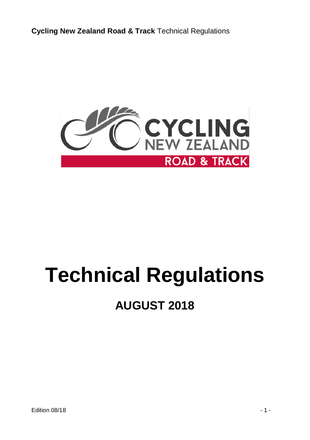

# **Technical Regulations**

## **AUGUST 2018**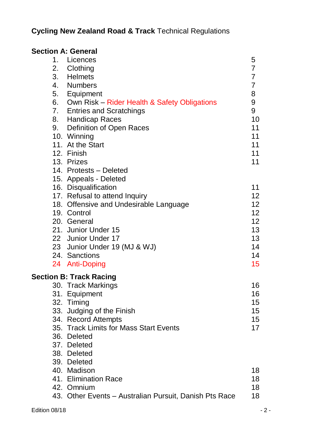| <b>Section A: General</b> |                                                        |                 |
|---------------------------|--------------------------------------------------------|-----------------|
| 1.                        | Licences                                               | 5               |
| 2.                        | Clothing                                               | 7               |
| 3.                        | <b>Helmets</b>                                         | $\overline{7}$  |
| 4.                        | <b>Numbers</b>                                         | $\overline{7}$  |
| 5.                        | Equipment                                              | 8               |
| 6.                        | Own Risk - Rider Health & Safety Obligations           | 9               |
|                           | 7. Entries and Scratchings                             | 9               |
|                           | <b>Handicap Races</b>                                  | 10              |
|                           | 9. Definition of Open Races                            | 11              |
|                           | 10. Winning                                            | 11              |
|                           | 11. At the Start                                       | 11              |
|                           | 12. Finish                                             | 11              |
|                           | 13. Prizes                                             | 11              |
|                           | 14. Protests - Deleted                                 |                 |
|                           | 15. Appeals - Deleted                                  |                 |
|                           | 16. Disqualification                                   | 11              |
|                           | 17. Refusal to attend Inquiry                          | 12              |
|                           | 18. Offensive and Undesirable Language                 | 12 <sup>2</sup> |
|                           | 19. Control                                            | 12              |
|                           | 20. General                                            | 12              |
|                           | 21. Junior Under 15                                    | 13              |
|                           | 22 Junior Under 17                                     | 13              |
|                           | 23 Junior Under 19 (MJ & WJ)                           | 14              |
|                           | 24. Sanctions                                          | 14              |
|                           | 24 Anti-Doping                                         | 15              |
|                           | <b>Section B: Track Racing</b>                         |                 |
|                           | 30. Track Markings                                     | 16              |
|                           | 31. Equipment                                          | 16              |
|                           | 32. Timing                                             | 15              |
|                           | 33. Judging of the Finish                              | 15              |
|                           | 34. Record Attempts                                    | 15              |
|                           | 35. Track Limits for Mass Start Events                 | 17              |
|                           | 36. Deleted                                            |                 |
|                           | 37. Deleted                                            |                 |
|                           | 38. Deleted                                            |                 |
|                           | 39. Deleted                                            |                 |
|                           | 40. Madison                                            | 18              |
|                           | 41. Elimination Race                                   | 18              |
|                           | 42. Omnium                                             | 18              |
|                           | 43. Other Events - Australian Pursuit, Danish Pts Race | 18              |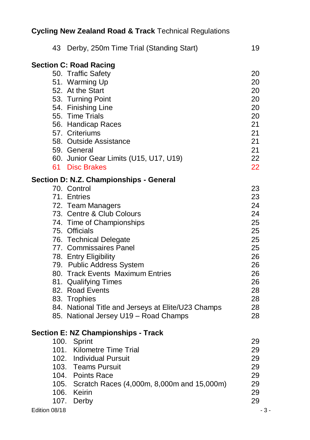| 43 Derby, 250m Time Trial (Standing Start)         | 19    |
|----------------------------------------------------|-------|
| <b>Section C: Road Racing</b>                      |       |
| 50. Traffic Safety                                 | 20    |
| 51. Warming Up                                     | 20    |
| 52. At the Start                                   | 20    |
| 53. Turning Point                                  | 20    |
| 54. Finishing Line                                 | 20    |
| 55. Time Trials                                    | 20    |
| 56. Handicap Races                                 | 21    |
| 57. Criteriums                                     | 21    |
| 58. Outside Assistance                             | 21    |
| 59. General                                        | 21    |
| 60. Junior Gear Limits (U15, U17, U19)             | 22    |
| 61 Disc Brakes                                     | 22    |
| Section D: N.Z. Championships - General            |       |
| 70. Control                                        | 23    |
| 71. Entries                                        | 23    |
| 72. Team Managers                                  | 24    |
| 73. Centre & Club Colours                          | 24    |
| 74. Time of Championships                          | 25    |
| 75. Officials                                      | 25    |
| 76. Technical Delegate                             | 25    |
| 77. Commissaires Panel                             | 25    |
| 78. Entry Eligibility                              | 26    |
| 79. Public Address System                          | 26    |
| 80. Track Events Maximum Entries                   | 26    |
| 81. Qualifying Times                               | 26    |
| 82. Road Events                                    | 28    |
| 83. Trophies                                       | 28    |
| 84. National Title and Jerseys at Elite/U23 Champs | 28    |
| 85. National Jersey U19 - Road Champs              | 28    |
| <b>Section E: NZ Championships - Track</b>         |       |
| 100. Sprint                                        | 29    |
| 101. Kilometre Time Trial                          | 29    |
| 102. Individual Pursuit                            | 29    |
| 103. Teams Pursuit                                 | 29    |
| 104. Points Race                                   | 29    |
| 105. Scratch Races (4,000m, 8,000m and 15,000m)    | 29    |
| 106. Keirin                                        | 29    |
| 107.<br>Derby                                      | 29    |
| Edition 08/18                                      | $-3-$ |
|                                                    |       |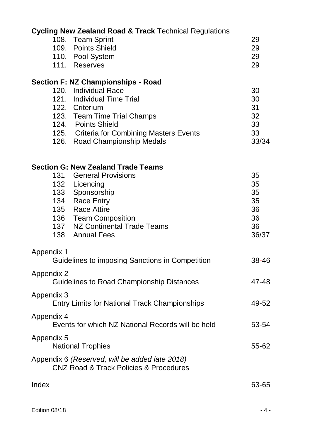|            | <b>Cycling New Zealand Road &amp; Track Technical Regulations</b>                        |          |
|------------|------------------------------------------------------------------------------------------|----------|
|            | 108. Team Sprint                                                                         | 29       |
|            | 109. Points Shield                                                                       | 29       |
|            | 110. Pool System                                                                         | 29       |
|            | 111. Reserves                                                                            | 29       |
|            | Section F: NZ Championships - Road                                                       |          |
|            | 120. Individual Race                                                                     | 30       |
|            | 121. Individual Time Trial                                                               | 30       |
|            | 122. Criterium                                                                           | 31       |
|            | 123. Team Time Trial Champs                                                              | 32       |
|            | 124. Points Shield                                                                       | 33<br>33 |
|            | 125. Criteria for Combining Masters Events                                               | 33/34    |
|            | 126. Road Championship Medals                                                            |          |
|            | <b>Section G: New Zealand Trade Teams</b>                                                |          |
| 131        | <b>General Provisions</b>                                                                | 35       |
| 132        | Licencing                                                                                | 35       |
| 133        | Sponsorship                                                                              | 35       |
| 134        | Race Entry                                                                               | 35       |
| 135        | Race Attire                                                                              | 36       |
|            | 136 Team Composition                                                                     | 36       |
| 137        | NZ Continental Trade Teams                                                               | 36       |
| 138        | <b>Annual Fees</b>                                                                       | 36/37    |
| Appendix 1 |                                                                                          |          |
|            | Guidelines to imposing Sanctions in Competition                                          | 38-46    |
| Appendix 2 | Guidelines to Road Championship Distances                                                | 47-48    |
| Appendix 3 |                                                                                          |          |
|            | Entry Limits for National Track Championships                                            | 49-52    |
| Appendix 4 | Events for which NZ National Records will be held                                        |          |
|            |                                                                                          | 53-54    |
| Appendix 5 | <b>National Trophies</b>                                                                 | 55-62    |
|            | Appendix 6 (Reserved, will be added late 2018)<br>CNZ Road & Track Policies & Procedures |          |
| Index      |                                                                                          | 63-65    |
|            |                                                                                          |          |
|            |                                                                                          |          |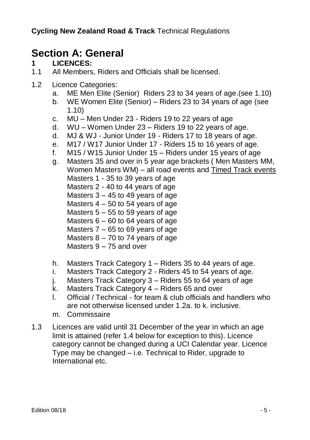### **Section A: General**

### **1 LICENCES:**

- 1.1 All Members, Riders and Officials shall be licensed.
- 1.2 Licence Categories:
	- a. ME Men Elite (Senior) Riders 23 to 34 years of age.(see 1.10)
	- b. WE Women Elite (Senior) Riders 23 to 34 years of age (see 1.10)
	- c. MU Men Under 23 Riders 19 to 22 years of age
	- d. WU Women Under 23 Riders 19 to 22 years of age.
	- d. MJ & WJ Junior Under 19 Riders 17 to 18 years of age.
	- e. M17 / W17 Junior Under 17 Riders 15 to 16 years of age.
	- f. M15 / W15 Junior Under 15 Riders under 15 years of age
	- g. Masters 35 and over in 5 year age brackets ( Men Masters MM, Women Masters WM) – all road events and Timed Track events Masters 1 - 35 to 39 years of age Masters 2 - 40 to 44 years of age Masters 3 – 45 to 49 years of age Masters  $4 - 50$  to 54 years of age Masters  $5 - 55$  to 59 years of age Masters 6 – 60 to 64 years of age Masters 7 – 65 to 69 years of age Masters  $8 - 70$  to 74 years of age Masters 9 – 75 and over
	- h. Masters Track Category 1 Riders 35 to 44 years of age.
	- i. Masters Track Category 2 Riders 45 to 54 years of age.
	- j. Masters Track Category 3 Riders 55 to 64 years of age
	- k. Masters Track Category 4 Riders 65 and over
	- l. Official / Technical for team & club officials and handlers who are not otherwise licensed under 1.2a. to k. inclusive.
	- m. Commissaire
- 1.3 Licences are valid until 31 December of the year in which an age limit is attained (refer 1.4 below for exception to this). Licence category cannot be changed during a UCI Calendar year. Licence Type may be changed – i.e. Technical to Rider, upgrade to International etc.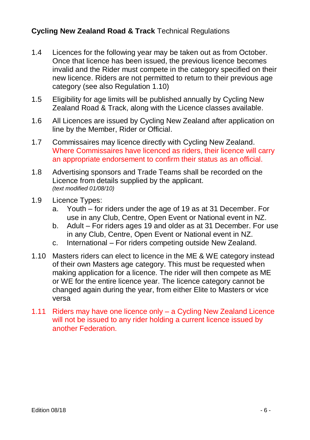- 1.4 Licences for the following year may be taken out as from October. Once that licence has been issued, the previous licence becomes invalid and the Rider must compete in the category specified on their new licence. Riders are not permitted to return to their previous age category (see also Regulation 1.10)
- 1.5 Eligibility for age limits will be published annually by Cycling New Zealand Road & Track, along with the Licence classes available.
- 1.6 All Licences are issued by Cycling New Zealand after application on line by the Member, Rider or Official.
- 1.7 Commissaires may licence directly with Cycling New Zealand. Where Commissaires have licenced as riders, their licence will carry an appropriate endorsement to confirm their status as an official.
- 1.8 Advertising sponsors and Trade Teams shall be recorded on the Licence from details supplied by the applicant. *(text modified 01/08/10)*
- 1.9 Licence Types:
	- a. Youth for riders under the age of 19 as at 31 December. For use in any Club, Centre, Open Event or National event in NZ.
	- b. Adult For riders ages 19 and older as at 31 December. For use in any Club, Centre, Open Event or National event in NZ.
	- c. International For riders competing outside New Zealand.
- 1.10 Masters riders can elect to licence in the ME & WE category instead of their own Masters age category. This must be requested when making application for a licence. The rider will then compete as ME or WE for the entire licence year. The licence category cannot be changed again during the year, from either Elite to Masters or vice versa
- 1.11 Riders may have one licence only a Cycling New Zealand Licence will not be issued to any rider holding a current licence issued by another Federation.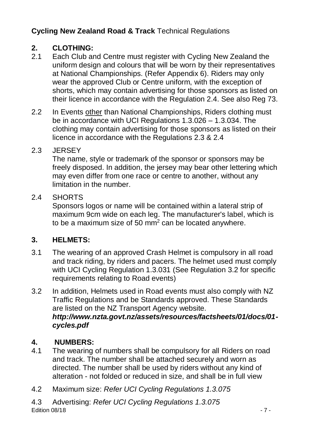## 2. **CLOTHING:**<br>2.1 **Fach Club are**

- Each Club and Centre must register with Cycling New Zealand the uniform design and colours that will be worn by their representatives at National Championships. (Refer Appendix 6). Riders may only wear the approved Club or Centre uniform, with the exception of shorts, which may contain advertising for those sponsors as listed on their licence in accordance with the Regulation 2.4. See also Reg 73.
- 2.2 In Events other than National Championships, Riders clothing must be in accordance with UCI Regulations 1.3.026 – 1.3.034. The clothing may contain advertising for those sponsors as listed on their licence in accordance with the Regulations 2.3 & 2.4

### 2.3 JERSEY

The name, style or trademark of the sponsor or sponsors may be freely disposed. In addition, the jersey may bear other lettering which may even differ from one race or centre to another, without any limitation in the number.

### 2.4 SHORTS

Sponsors logos or name will be contained within a lateral strip of maximum 9cm wide on each leg. The manufacturer's label, which is to be a maximum size of 50  $\text{mm}^2$  can be located anywhere.

### **3. HELMETS:**

- 3.1 The wearing of an approved Crash Helmet is compulsory in all road and track riding, by riders and pacers. The helmet used must comply with UCI Cycling Regulation 1.3.031 (See Regulation 3.2 for specific requirements relating to Road events)
- 3.2 In addition, Helmets used in Road events must also comply with NZ Traffic Regulations and be Standards approved. These Standards are listed on the NZ Transport Agency website. *http://www.nzta.govt.nz/assets/resources/factsheets/01/docs/01 cycles.pdf*

### **4. NUMBERS:**

- 4.1 The wearing of numbers shall be compulsory for all Riders on road and track. The number shall be attached securely and worn as directed. The number shall be used by riders without any kind of alteration - not folded or reduced in size, and shall be in full view
- 4.2 Maximum size: *Refer UCI Cycling Regulations 1.3.075*
- $\blacksquare$  Edition 08/18  $\blacksquare$  7 -4.3 Advertising: *Refer UCI Cycling Regulations 1.3.075*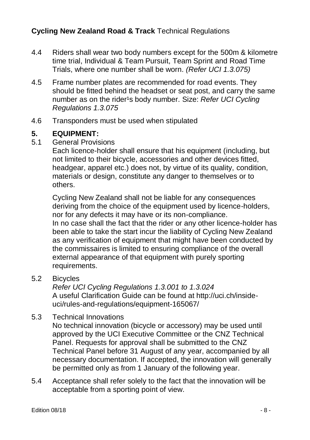- 4.4 Riders shall wear two body numbers except for the 500m & kilometre time trial, Individual & Team Pursuit, Team Sprint and Road Time Trials, where one number shall be worn. *(Refer UCI 1.3.075)*
- 4.5 Frame number plates are recommended for road events. They should be fitted behind the headset or seat post, and carry the same number as on the rider<sup>1</sup>s body number. Size: *Refer UCI Cycling Regulations 1.3.075*
- 4.6 Transponders must be used when stipulated

## **5. EQUIPMENT:**<br>5.1 General Provis

5.1 General Provisions

Each licence-holder shall ensure that his equipment (including, but not limited to their bicycle, accessories and other devices fitted, headgear, apparel etc.) does not, by virtue of its quality, condition, materials or design, constitute any danger to themselves or to others.

Cycling New Zealand shall not be liable for any consequences deriving from the choice of the equipment used by licence-holders, nor for any defects it may have or its non-compliance. In no case shall the fact that the rider or any other licence-holder has been able to take the start incur the liability of Cycling New Zealand as any verification of equipment that might have been conducted by the commissaires is limited to ensuring compliance of the overall external appearance of that equipment with purely sporting requirements.

5.2 Bicycles

*Refer UCI Cycling Regulations 1.3.001 to 1.3.024* A useful Clarification Guide can be found at http://uci.ch/insideuci/rules-and-regulations/equipment-165067/

5.3 Technical Innovations

No technical innovation (bicycle or accessory) may be used until approved by the UCI Executive Committee or the CNZ Technical Panel. Requests for approval shall be submitted to the CNZ Technical Panel before 31 August of any year, accompanied by all necessary documentation. If accepted, the innovation will generally be permitted only as from 1 January of the following year.

5.4 Acceptance shall refer solely to the fact that the innovation will be acceptable from a sporting point of view.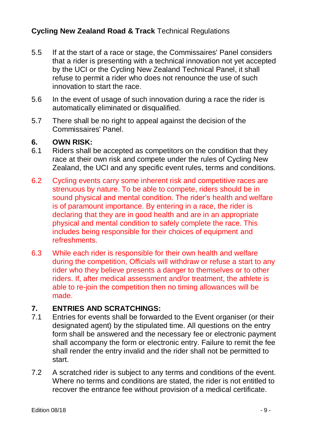- 5.5 If at the start of a race or stage, the Commissaires' Panel considers that a rider is presenting with a technical innovation not yet accepted by the UCI or the Cycling New Zealand Technical Panel, it shall refuse to permit a rider who does not renounce the use of such innovation to start the race.
- 5.6 In the event of usage of such innovation during a race the rider is automatically eliminated or disqualified.
- 5.7 There shall be no right to appeal against the decision of the Commissaires' Panel.

### **6. OWN RISK:**

- 6.1 Riders shall be accepted as competitors on the condition that they race at their own risk and compete under the rules of Cycling New Zealand, the UCI and any specific event rules, terms and conditions.
- 6.2 Cycling events carry some inherent risk and competitive races are strenuous by nature. To be able to compete, riders should be in sound physical and mental condition. The rider's health and welfare is of paramount importance. By entering in a race, the rider is declaring that they are in good health and are in an appropriate physical and mental condition to safely complete the race. This includes being responsible for their choices of equipment and refreshments.
- 6.3 While each rider is responsible for their own health and welfare during the competition, Officials will withdraw or refuse a start to any rider who they believe presents a danger to themselves or to other riders. If, after medical assessment and/or treatment, the athlete is able to re-join the competition then no timing allowances will be made.

### **7. ENTRIES AND SCRATCHINGS:**

- 7.1 Entries for events shall be forwarded to the Event organiser (or their designated agent) by the stipulated time. All questions on the entry form shall be answered and the necessary fee or electronic payment shall accompany the form or electronic entry. Failure to remit the fee shall render the entry invalid and the rider shall not be permitted to start.
- 7.2 A scratched rider is subject to any terms and conditions of the event. Where no terms and conditions are stated, the rider is not entitled to recover the entrance fee without provision of a medical certificate.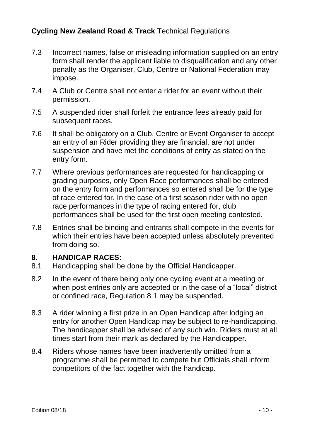- 7.3 Incorrect names, false or misleading information supplied on an entry form shall render the applicant liable to disqualification and any other penalty as the Organiser, Club, Centre or National Federation may impose.
- 7.4 A Club or Centre shall not enter a rider for an event without their permission.
- 7.5 A suspended rider shall forfeit the entrance fees already paid for subsequent races.
- 7.6 It shall be obligatory on a Club, Centre or Event Organiser to accept an entry of an Rider providing they are financial, are not under suspension and have met the conditions of entry as stated on the entry form.
- 7.7 Where previous performances are requested for handicapping or grading purposes, only Open Race performances shall be entered on the entry form and performances so entered shall be for the type of race entered for. In the case of a first season rider with no open race performances in the type of racing entered for, club performances shall be used for the first open meeting contested.
- 7.8 Entries shall be binding and entrants shall compete in the events for which their entries have been accepted unless absolutely prevented from doing so.

### **8. HANDICAP RACES:**

- 8.1 Handicapping shall be done by the Official Handicapper.
- 8.2 In the event of there being only one cycling event at a meeting or when post entries only are accepted or in the case of a "local" district or confined race, Regulation 8.1 may be suspended.
- 8.3 A rider winning a first prize in an Open Handicap after lodging an entry for another Open Handicap may be subject to re-handicapping. The handicapper shall be advised of any such win. Riders must at all times start from their mark as declared by the Handicapper.
- 8.4 Riders whose names have been inadvertently omitted from a programme shall be permitted to compete but Officials shall inform competitors of the fact together with the handicap.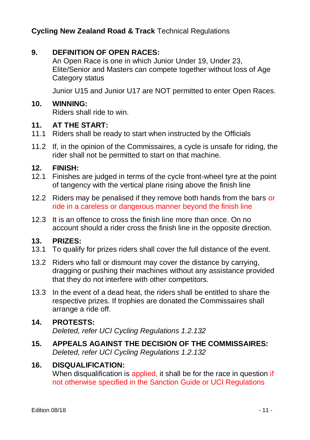### **9. DEFINITION OF OPEN RACES:**

An Open Race is one in which Junior Under 19, Under 23, Elite/Senior and Masters can compete together without loss of Age Category status

Junior U15 and Junior U17 are NOT permitted to enter Open Races.

#### **10. WINNING:**

Riders shall ride to win.

#### **11. AT THE START:**

- 11.1 Riders shall be ready to start when instructed by the Officials
- 11.2 If, in the opinion of the Commissaires, a cycle is unsafe for riding, the rider shall not be permitted to start on that machine.

#### **12. FINISH:**

- 12.1 Finishes are judged in terms of the cycle front-wheel tyre at the point of tangency with the vertical plane rising above the finish line
- 12.2 Riders may be penalised if they remove both hands from the bars or ride in a careless or dangerous manner beyond the finish line
- 12.3 It is an offence to cross the finish line more than once. On no account should a rider cross the finish line in the opposite direction.

### **13. PRIZES:**

- 13.1 To qualify for prizes riders shall cover the full distance of the event.
- 13.2 Riders who fall or dismount may cover the distance by carrying, dragging or pushing their machines without any assistance provided that they do not interfere with other competitors.
- 13.3 In the event of a dead heat, the riders shall be entitled to share the respective prizes. If trophies are donated the Commissaires shall arrange a ride off.

### **14. PROTESTS:**

*Deleted, refer UCI Cycling Regulations 1.2.132*

**15. APPEALS AGAINST THE DECISION OF THE COMMISSAIRES:** *Deleted, refer UCI Cycling Regulations 1.2.132*

#### **16. DISQUALIFICATION:**

When disqualification is applied, it shall be for the race in question if not otherwise specified in the Sanction Guide or UCI Regulations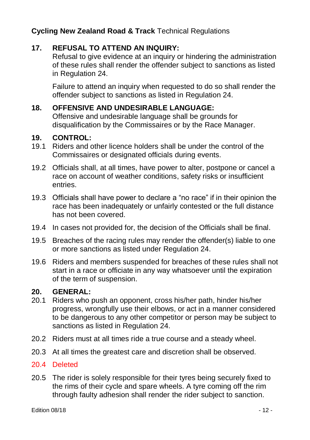### **17. REFUSAL TO ATTEND AN INQUIRY:**

Refusal to give evidence at an inquiry or hindering the administration of these rules shall render the offender subject to sanctions as listed in Regulation 24.

Failure to attend an inquiry when requested to do so shall render the offender subject to sanctions as listed in Regulation 24.

### **18. OFFENSIVE AND UNDESIRABLE LANGUAGE:**

Offensive and undesirable language shall be grounds for disqualification by the Commissaires or by the Race Manager.

### **19. CONTROL:**

- 19.1 Riders and other licence holders shall be under the control of the Commissaires or designated officials during events.
- 19.2 Officials shall, at all times, have power to alter, postpone or cancel a race on account of weather conditions, safety risks or insufficient entries.
- 19.3 Officials shall have power to declare a "no race" if in their opinion the race has been inadequately or unfairly contested or the full distance has not been covered.
- 19.4 In cases not provided for, the decision of the Officials shall be final.
- 19.5 Breaches of the racing rules may render the offender(s) liable to one or more sanctions as listed under Regulation 24.
- 19.6 Riders and members suspended for breaches of these rules shall not start in a race or officiate in any way whatsoever until the expiration of the term of suspension.

### **20. GENERAL:**

- 20.1 Riders who push an opponent, cross his/her path, hinder his/her progress, wrongfully use their elbows, or act in a manner considered to be dangerous to any other competitor or person may be subject to sanctions as listed in Regulation 24.
- 20.2 Riders must at all times ride a true course and a steady wheel.
- 20.3 At all times the greatest care and discretion shall be observed.

### 20.4 Deleted

20.5 The rider is solely responsible for their tyres being securely fixed to the rims of their cycle and spare wheels. A tyre coming off the rim through faulty adhesion shall render the rider subject to sanction.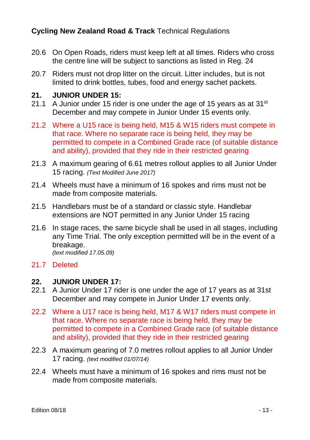- 20.6 On Open Roads, riders must keep left at all times. Riders who cross the centre line will be subject to sanctions as listed in Reg. 24
- 20.7 Riders must not drop litter on the circuit. Litter includes, but is not limited to drink bottles, tubes, food and energy sachet packets.

### **21. JUNIOR UNDER 15:**

- 21.1 A Junior under 15 rider is one under the age of 15 years as at  $31<sup>st</sup>$ December and may compete in Junior Under 15 events only.
- 21.2 Where a U15 race is being held, M15 & W15 riders must compete in that race. Where no separate race is being held, they may be permitted to compete in a Combined Grade race (of suitable distance and ability), provided that they ride in their restricted gearing
- 21.3 A maximum gearing of 6.61 metres rollout applies to all Junior Under 15 racing. *(Text Modified June 2017)*
- 21.4 Wheels must have a minimum of 16 spokes and rims must not be made from composite materials.
- 21.5 Handlebars must be of a standard or classic style. Handlebar extensions are NOT permitted in any Junior Under 15 racing
- 21.6 In stage races, the same bicycle shall be used in all stages, including any Time Trial. The only exception permitted will be in the event of a breakage. *(text modified 17.05.09)*

### 21.7 Deleted

#### **22. JUNIOR UNDER 17:**

- 22.1 A Junior Under 17 rider is one under the age of 17 years as at 31st December and may compete in Junior Under 17 events only.
- 22.2 Where a U17 race is being held, M17 & W17 riders must compete in that race. Where no separate race is being held, they may be permitted to compete in a Combined Grade race (of suitable distance and ability), provided that they ride in their restricted gearing
- 22.3 A maximum gearing of 7.0 metres rollout applies to all Junior Under 17 racing. *(text modified 01/07/14)*
- 22.4 Wheels must have a minimum of 16 spokes and rims must not be made from composite materials.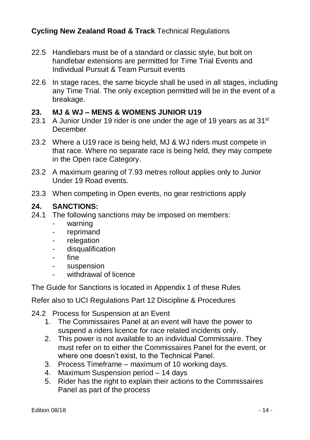- 22.5 Handlebars must be of a standard or classic style, but bolt on handlebar extensions are permitted for Time Trial Events and Individual Pursuit & Team Pursuit events
- 22.6 In stage races, the same bicycle shall be used in all stages, including any Time Trial. The only exception permitted will be in the event of a breakage.

### **23. MJ & WJ – MENS & WOMENS JUNIOR U19**

- 23.1 A Junior Under 19 rider is one under the age of 19 years as at 31 $\mathrm{^{st}}$ December
- 23.2 Where a U19 race is being held, MJ & WJ riders must compete in that race. Where no separate race is being held, they may compete in the Open race Category.
- 23.2 A maximum gearing of 7.93 metres rollout applies only to Junior Under 19 Road events.
- 23.3 When competing in Open events, no gear restrictions apply

### **24. SANCTIONS:**

- 24.1 The following sanctions may be imposed on members:
	- warning
	- reprimand
	- relegation
	- disqualification
	- fine
	- suspension
	- withdrawal of licence

The Guide for Sanctions is located in Appendix 1 of these Rules

Refer also to UCI Regulations Part 12 Discipline & Procedures

- 24.2 Process for Suspension at an Event
	- 1. The Commissaires Panel at an event will have the power to suspend a riders licence for race related incidents only.
	- 2. This power is not available to an individual Commissaire. They must refer on to either the Commissaires Panel for the event, or where one doesn't exist, to the Technical Panel.
	- 3. Process Timeframe maximum of 10 working days.
	- 4. Maximum Suspension period 14 days
	- 5. Rider has the right to explain their actions to the Commissaires Panel as part of the process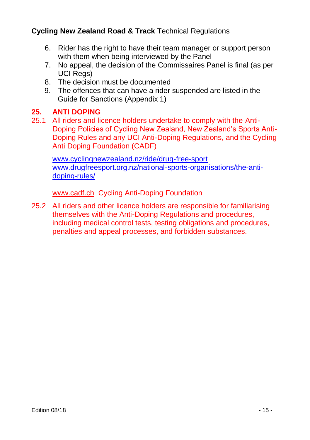- 6. Rider has the right to have their team manager or support person with them when being interviewed by the Panel
- 7. No appeal, the decision of the Commissaires Panel is final (as per UCI Regs)
- 8. The decision must be documented
- 9. The offences that can have a rider suspended are listed in the Guide for Sanctions (Appendix 1)

### **25. ANTI DOPING**

25.1 All riders and licence holders undertake to comply with the Anti-Doping Policies of Cycling New Zealand, New Zealand's Sports Anti-Doping Rules and any UCI Anti-Doping Regulations, and the Cycling Anti Doping Foundation (CADF)

[www.cyclingnewzealand.nz/ride/drug-free-sport](http://www.cyclingnewzealand.nz/ride/drug-free-sport) [www.drugfreesport.org.nz/national-sports-organisations/the-anti](http://www.drugfreesport.org.nz/national-sports-organisations/the-anti-doping-rules/)[doping-rules/](http://www.drugfreesport.org.nz/national-sports-organisations/the-anti-doping-rules/)

[www.cadf.ch](http://www.cadf.ch/) Cycling Anti-Doping Foundation

25.2 All riders and other licence holders are responsible for familiarising themselves with the Anti-Doping Regulations and procedures, including medical control tests, testing obligations and procedures, penalties and appeal processes, and forbidden substances.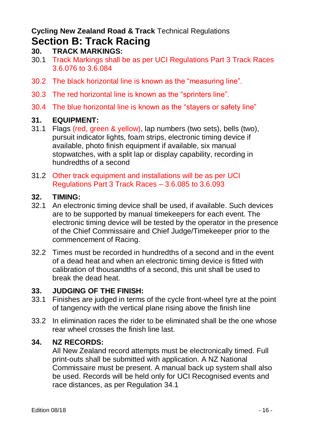### **Cycling New Zealand Road & Track** Technical Regulations **Section B: Track Racing**

- **30. TRACK MARKINGS:**
- 30.1 Track Markings shall be as per UCI Regulations Part 3 Track Races 3.6.076 to 3.6.084
- 30.2 The black horizontal line is known as the "measuring line".
- 30.3 The red horizontal line is known as the "sprinters line".
- 30.4 The blue horizontal line is known as the "stayers or safety line"

### **31. EQUIPMENT:**

- 31.1 Flags (red, green & yellow), lap numbers (two sets), bells (two), pursuit indicator lights, foam strips, electronic timing device if available, photo finish equipment if available, six manual stopwatches, with a split lap or display capability, recording in hundredths of a second
- 31.2 Other track equipment and installations will be as per UCI Regulations Part 3 Track Races – 3.6.085 to 3.6.093

### **32. TIMING:**

- 32.1 An electronic timing device shall be used, if available. Such devices are to be supported by manual timekeepers for each event. The electronic timing device will be tested by the operator in the presence of the Chief Commissaire and Chief Judge/Timekeeper prior to the commencement of Racing.
- 32.2 Times must be recorded in hundredths of a second and in the event of a dead heat and when an electronic timing device is fitted with calibration of thousandths of a second, this unit shall be used to break the dead heat.

### **33. JUDGING OF THE FINISH:**

- 33.1 Finishes are judged in terms of the cycle front-wheel tyre at the point of tangency with the vertical plane rising above the finish line
- 33.2 In elimination races the rider to be eliminated shall be the one whose rear wheel crosses the finish line last.

### **34. NZ RECORDS:**

All New Zealand record attempts must be electronically timed. Full print-outs shall be submitted with application. A NZ National Commissaire must be present. A manual back up system shall also be used. Records will be held only for UCI Recognised events and race distances, as per Regulation 34.1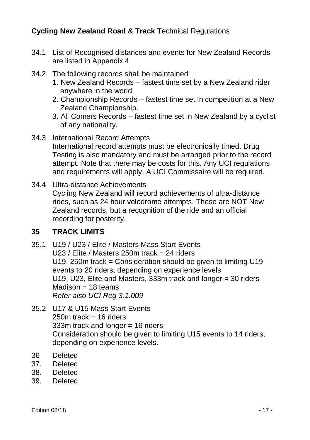- 34.1 List of Recognised distances and events for New Zealand Records are listed in Appendix 4
- 34.2 The following records shall be maintained
	- 1. New Zealand Records fastest time set by a New Zealand rider anywhere in the world.
	- 2. Championship Records fastest time set in competition at a New Zealand Championship.
	- 3. All Comers Records fastest time set in New Zealand by a cyclist of any nationality.
- 34.3 International Record Attempts International record attempts must be electronically timed. Drug Testing is also mandatory and must be arranged prior to the record attempt. Note that there may be costs for this. Any UCI regulations and requirements will apply. A UCI Commissaire will be required.
- 34.4 Ultra-distance Achievements Cycling New Zealand will record achievements of ultra-distance rides, such as 24 hour velodrome attempts. These are NOT New Zealand records, but a recognition of the ride and an official recording for posterity.

### **35 TRACK LIMITS**

- 35.1 U19 / U23 / Elite / Masters Mass Start Events U23 / Elite / Masters 250m track = 24 riders U19, 250m track = Consideration should be given to limiting U19 events to 20 riders, depending on experience levels U19, U23, Elite and Masters, 333m track and longer = 30 riders  $Madison = 18$  teams *Refer also UCI Reg 3.1.009*
- 35.2 U17 & U15 Mass Start Events  $250m$  track = 16 riders 333m track and longer = 16 riders Consideration should be given to limiting U15 events to 14 riders, depending on experience levels.
- 36 Deleted
- 37. Deleted
- 38. Deleted
- 39. Deleted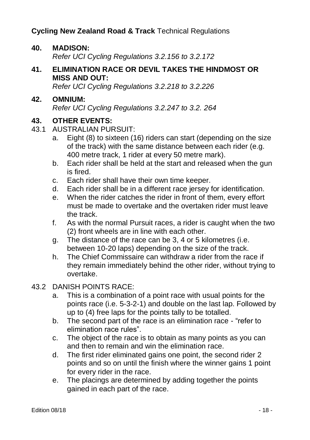### **40. MADISON:**

*Refer UCI Cycling Regulations 3.2.156 to 3.2.172*

**41. ELIMINATION RACE OR DEVIL TAKES THE HINDMOST OR MISS AND OUT:**

*Refer UCI Cycling Regulations 3.2.218 to 3.2.226*

**42. OMNIUM:** *Refer UCI Cycling Regulations 3.2.247 to 3.2. 264*

## **43. OTHER EVENTS:**<br>43.1 AUSTRALIAN PUL

- 43.1 AUSTRALIAN PURSUIT:
	- a. Eight (8) to sixteen (16) riders can start (depending on the size of the track) with the same distance between each rider (e.g. 400 metre track, 1 rider at every 50 metre mark).
	- b. Each rider shall be held at the start and released when the gun is fired.
	- c. Each rider shall have their own time keeper.
	- d. Each rider shall be in a different race jersey for identification.
	- e. When the rider catches the rider in front of them, every effort must be made to overtake and the overtaken rider must leave the track.
	- f. As with the normal Pursuit races, a rider is caught when the two (2) front wheels are in line with each other.
	- g. The distance of the race can be 3, 4 or 5 kilometres (i.e. between 10-20 laps) depending on the size of the track.
	- h. The Chief Commissaire can withdraw a rider from the race if they remain immediately behind the other rider, without trying to overtake.
- 43.2 DANISH POINTS RACE:
	- a. This is a combination of a point race with usual points for the points race (i.e. 5-3-2-1) and double on the last lap. Followed by up to (4) free laps for the points tally to be totalled.
	- b. The second part of the race is an elimination race "refer to elimination race rules".
	- c. The object of the race is to obtain as many points as you can and then to remain and win the elimination race.
	- d. The first rider eliminated gains one point, the second rider 2 points and so on until the finish where the winner gains 1 point for every rider in the race.
	- e. The placings are determined by adding together the points gained in each part of the race.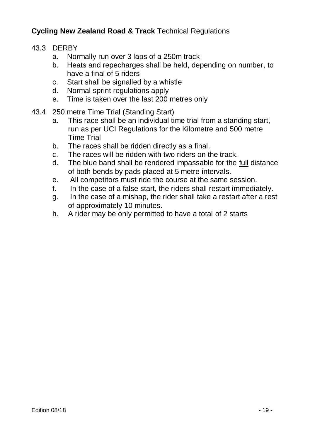- 43.3 DERBY
	- a. Normally run over 3 laps of a 250m track
	- b. Heats and repecharges shall be held, depending on number, to have a final of 5 riders
	- c. Start shall be signalled by a whistle
	- d. Normal sprint regulations apply
	- e. Time is taken over the last 200 metres only
- 43.4 250 metre Time Trial (Standing Start)
	- a. This race shall be an individual time trial from a standing start, run as per UCI Regulations for the Kilometre and 500 metre Time Trial
	- b. The races shall be ridden directly as a final.
	- c. The races will be ridden with two riders on the track.
	- d. The blue band shall be rendered impassable for the full distance of both bends by pads placed at 5 metre intervals.
	- e. All competitors must ride the course at the same session.
	- f. In the case of a false start, the riders shall restart immediately.
	- g. In the case of a mishap, the rider shall take a restart after a rest of approximately 10 minutes.
	- h. A rider may be only permitted to have a total of 2 starts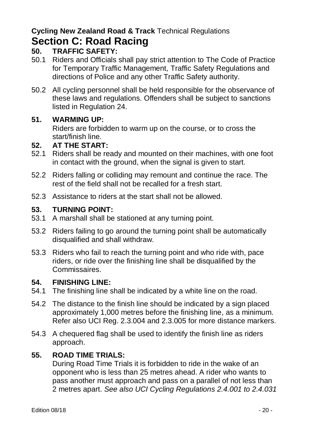### **Cycling New Zealand Road & Track** Technical Regulations **Section C: Road Racing**

### **50. TRAFFIC SAFETY:**

- 50.1 Riders and Officials shall pay strict attention to The Code of Practice for Temporary Traffic Management, Traffic Safety Regulations and directions of Police and any other Traffic Safety authority.
- 50.2 All cycling personnel shall be held responsible for the observance of these laws and regulations. Offenders shall be subject to sanctions listed in Regulation 24.

### **51. WARMING UP:**

Riders are forbidden to warm up on the course, or to cross the start/finish line.

### **52. AT THE START:**

- 52.1 Riders shall be ready and mounted on their machines, with one foot in contact with the ground, when the signal is given to start.
- 52.2 Riders falling or colliding may remount and continue the race. The rest of the field shall not be recalled for a fresh start.
- 52.3 Assistance to riders at the start shall not be allowed.

### **53. TURNING POINT:**

- 53.1 A marshall shall be stationed at any turning point.
- 53.2 Riders failing to go around the turning point shall be automatically disqualified and shall withdraw.
- 53.3 Riders who fail to reach the turning point and who ride with, pace riders, or ride over the finishing line shall be disqualified by the Commissaires.

### **54. FINISHING LINE:**

- 54.1 The finishing line shall be indicated by a white line on the road.
- 54.2 The distance to the finish line should be indicated by a sign placed approximately 1,000 metres before the finishing line, as a minimum. Refer also UCI Reg. 2.3.004 and 2.3.005 for more distance markers.
- 54.3 A chequered flag shall be used to identify the finish line as riders approach.

### **55. ROAD TIME TRIALS:**

During Road Time Trials it is forbidden to ride in the wake of an opponent who is less than 25 metres ahead. A rider who wants to pass another must approach and pass on a parallel of not less than 2 metres apart. *See also UCI Cycling Regulations 2.4.001 to 2.4.031*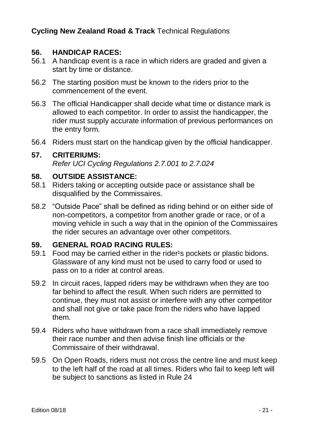### **56. HANDICAP RACES:**

- 56.1 A handicap event is a race in which riders are graded and given a start by time or distance.
- 56.2 The starting position must be known to the riders prior to the commencement of the event.
- 56.3 The official Handicapper shall decide what time or distance mark is allowed to each competitor. In order to assist the handicapper, the rider must supply accurate information of previous performances on the entry form.
- 56.4 Riders must start on the handicap given by the official handicapper.

#### **57. CRITERIUMS:**

*Refer UCI Cycling Regulations 2.7.001 to 2.7.024*

#### **58. OUTSIDE ASSISTANCE:**

- 58.1 Riders taking or accepting outside pace or assistance shall be disqualified by the Commissaires.
- 58.2 "Outside Pace" shall be defined as riding behind or on either side of non-competitors, a competitor from another grade or race, or of a moving vehicle in such a way that in the opinion of the Commissaires the rider secures an advantage over other competitors.

#### **59. GENERAL ROAD RACING RULES:**

- 59.1 Food may be carried either in the rider<sup>1</sup>s pockets or plastic bidons. Glassware of any kind must not be used to carry food or used to pass on to a rider at control areas.
- 59.2 In circuit races, lapped riders may be withdrawn when they are too far behind to affect the result. When such riders are permitted to continue, they must not assist or interfere with any other competitor and shall not give or take pace from the riders who have lapped them.
- 59.4 Riders who have withdrawn from a race shall immediately remove their race number and then advise finish line officials or the Commissaire of their withdrawal.
- 59.5 On Open Roads, riders must not cross the centre line and must keep to the left half of the road at all times. Riders who fail to keep left will be subject to sanctions as listed in Rule 24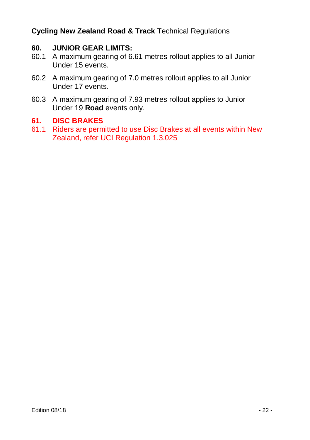### **60. JUNIOR GEAR LIMITS:**

- 60.1 A maximum gearing of 6.61 metres rollout applies to all Junior Under 15 events.
- 60.2 A maximum gearing of 7.0 metres rollout applies to all Junior Under 17 events.
- 60.3 A maximum gearing of 7.93 metres rollout applies to Junior Under 19 **Road** events only.

### **61. DISC BRAKES**

61.1 Riders are permitted to use Disc Brakes at all events within New Zealand, refer UCI Regulation 1.3.025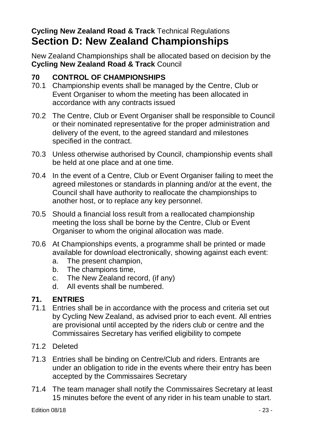### **Cycling New Zealand Road & Track** Technical Regulations **Section D: New Zealand Championships**

New Zealand Championships shall be allocated based on decision by the **Cycling New Zealand Road & Track** Council

### **70 CONTROL OF CHAMPIONSHIPS**

- 70.1 Championship events shall be managed by the Centre, Club or Event Organiser to whom the meeting has been allocated in accordance with any contracts issued
- 70.2 The Centre, Club or Event Organiser shall be responsible to Council or their nominated representative for the proper administration and delivery of the event, to the agreed standard and milestones specified in the contract.
- 70.3 Unless otherwise authorised by Council, championship events shall be held at one place and at one time.
- 70.4 In the event of a Centre, Club or Event Organiser failing to meet the agreed milestones or standards in planning and/or at the event, the Council shall have authority to reallocate the championships to another host, or to replace any key personnel.
- 70.5 Should a financial loss result from a reallocated championship meeting the loss shall be borne by the Centre, Club or Event Organiser to whom the original allocation was made.
- 70.6 At Championships events, a programme shall be printed or made available for download electronically, showing against each event:
	- a. The present champion,
	- b. The champions time,
	- c. The New Zealand record, (if any)
	- d. All events shall be numbered.

### **71. ENTRIES**

- 71.1 Entries shall be in accordance with the process and criteria set out by Cycling New Zealand, as advised prior to each event. All entries are provisional until accepted by the riders club or centre and the Commissaires Secretary has verified eligibility to compete
- 71.2 Deleted
- 71.3 Entries shall be binding on Centre/Club and riders. Entrants are under an obligation to ride in the events where their entry has been accepted by the Commissaires Secretary
- 71.4 The team manager shall notify the Commissaires Secretary at least 15 minutes before the event of any rider in his team unable to start.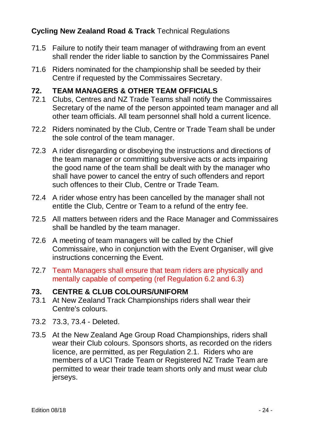- 71.5 Failure to notify their team manager of withdrawing from an event shall render the rider liable to sanction by the Commissaires Panel
- 71.6 Riders nominated for the championship shall be seeded by their Centre if requested by the Commissaires Secretary.

### **72. TEAM MANAGERS & OTHER TEAM OFFICIALS**

- 72.1 Clubs, Centres and NZ Trade Teams shall notify the Commissaires Secretary of the name of the person appointed team manager and all other team officials. All team personnel shall hold a current licence.
- 72.2 Riders nominated by the Club, Centre or Trade Team shall be under the sole control of the team manager.
- 72.3 A rider disregarding or disobeying the instructions and directions of the team manager or committing subversive acts or acts impairing the good name of the team shall be dealt with by the manager who shall have power to cancel the entry of such offenders and report such offences to their Club, Centre or Trade Team.
- 72.4 A rider whose entry has been cancelled by the manager shall not entitle the Club, Centre or Team to a refund of the entry fee.
- 72.5 All matters between riders and the Race Manager and Commissaires shall be handled by the team manager.
- 72.6 A meeting of team managers will be called by the Chief Commissaire, who in conjunction with the Event Organiser, will give instructions concerning the Event.
- 72.7 Team Managers shall ensure that team riders are physically and mentally capable of competing (ref Regulation 6.2 and 6.3)

### **73. CENTRE & CLUB COLOURS/UNIFORM**

- 73.1 At New Zealand Track Championships riders shall wear their Centre's colours.
- 73.2 73.3, 73.4 Deleted.
- 73.5 At the New Zealand Age Group Road Championships, riders shall wear their Club colours. Sponsors shorts, as recorded on the riders licence, are permitted, as per Regulation 2.1. Riders who are members of a UCI Trade Team or Registered NZ Trade Team are permitted to wear their trade team shorts only and must wear club jerseys.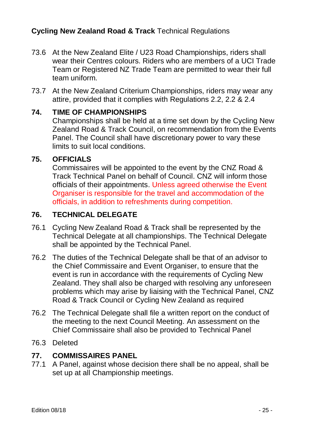- 73.6 At the New Zealand Elite / U23 Road Championships, riders shall wear their Centres colours. Riders who are members of a UCI Trade Team or Registered NZ Trade Team are permitted to wear their full team uniform.
- 73.7 At the New Zealand Criterium Championships, riders may wear any attire, provided that it complies with Regulations 2.2, 2.2 & 2.4

### **74. TIME OF CHAMPIONSHIPS**

Championships shall be held at a time set down by the Cycling New Zealand Road & Track Council, on recommendation from the Events Panel. The Council shall have discretionary power to vary these limits to suit local conditions.

### **75. OFFICIALS**

Commissaires will be appointed to the event by the CNZ Road & Track Technical Panel on behalf of Council. CNZ will inform those officials of their appointments. Unless agreed otherwise the Event Organiser is responsible for the travel and accommodation of the officials, in addition to refreshments during competition.

### **76. TECHNICAL DELEGATE**

- 76.1 Cycling New Zealand Road & Track shall be represented by the Technical Delegate at all championships. The Technical Delegate shall be appointed by the Technical Panel.
- 76.2 The duties of the Technical Delegate shall be that of an advisor to the Chief Commissaire and Event Organiser, to ensure that the event is run in accordance with the requirements of Cycling New Zealand. They shall also be charged with resolving any unforeseen problems which may arise by liaising with the Technical Panel, CNZ Road & Track Council or Cycling New Zealand as required
- 76.2 The Technical Delegate shall file a written report on the conduct of the meeting to the next Council Meeting. An assessment on the Chief Commissaire shall also be provided to Technical Panel
- 76.3 Deleted

### **77. COMMISSAIRES PANEL**

77.1 A Panel, against whose decision there shall be no appeal, shall be set up at all Championship meetings.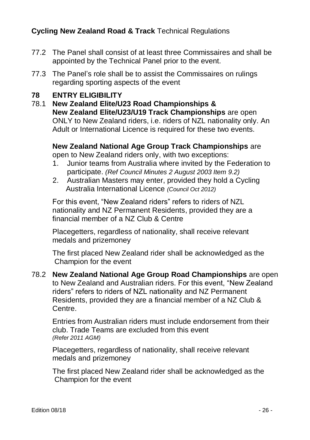- 77.2 The Panel shall consist of at least three Commissaires and shall be appointed by the Technical Panel prior to the event.
- 77.3 The Panel's role shall be to assist the Commissaires on rulings regarding sporting aspects of the event

### **78 ENTRY ELIGIBILITY**

78.1 **New Zealand Elite/U23 Road Championships & New Zealand Elite/U23/U19 Track Championships** are open ONLY to New Zealand riders, i.e. riders of NZL nationality only. An Adult or International Licence is required for these two events.

### **New Zealand National Age Group Track Championships** are

open to New Zealand riders only, with two exceptions:

- 1. Junior teams from Australia where invited by the Federation to participate. *(Ref Council Minutes 2 August 2003 Item 9.2)*
- 2. Australian Masters may enter, provided they hold a Cycling Australia International Licence *(Council Oct 2012)*

For this event, "New Zealand riders" refers to riders of NZL nationality and NZ Permanent Residents, provided they are a financial member of a NZ Club & Centre

Placegetters, regardless of nationality, shall receive relevant medals and prizemoney

The first placed New Zealand rider shall be acknowledged as the Champion for the event

78.2 **New Zealand National Age Group Road Championships** are open to New Zealand and Australian riders. For this event, "New Zealand riders" refers to riders of NZL nationality and NZ Permanent Residents, provided they are a financial member of a NZ Club & Centre.

Entries from Australian riders must include endorsement from their club. Trade Teams are excluded from this event *(Refer 2011 AGM)*

Placegetters, regardless of nationality, shall receive relevant medals and prizemoney

The first placed New Zealand rider shall be acknowledged as the Champion for the event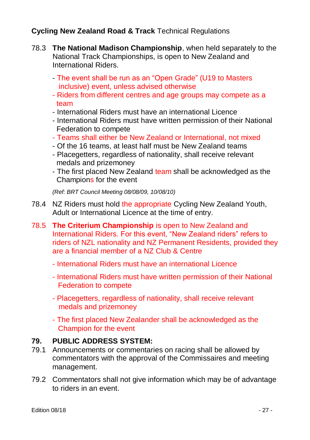- 78.3 **The National Madison Championship**, when held separately to the National Track Championships, is open to New Zealand and International Riders.
	- The event shall be run as an "Open Grade" (U19 to Masters inclusive) event, unless advised otherwise
	- Riders from different centres and age groups may compete as a team
	- International Riders must have an international Licence
	- International Riders must have written permission of their National Federation to compete
	- Teams shall either be New Zealand or International, not mixed
	- Of the 16 teams, at least half must be New Zealand teams
	- Placegetters, regardless of nationality, shall receive relevant medals and prizemoney
	- The first placed New Zealand team shall be acknowledged as the Champions for the event

*(Ref: BRT Council Meeting 08/08/09, 10/08/10)*

- 78.4 NZ Riders must hold the appropriate Cycling New Zealand Youth, Adult or International Licence at the time of entry.
- 78.5 **The Criterium Championship** is open to New Zealand and International Riders. For this event, "New Zealand riders" refers to riders of NZL nationality and NZ Permanent Residents, provided they are a financial member of a NZ Club & Centre
	- International Riders must have an international Licence
	- International Riders must have written permission of their National Federation to compete
	- Placegetters, regardless of nationality, shall receive relevant medals and prizemoney
	- The first placed New Zealander shall be acknowledged as the Champion for the event

### **79. PUBLIC ADDRESS SYSTEM:**

- 79.1 Announcements or commentaries on racing shall be allowed by commentators with the approval of the Commissaires and meeting management.
- 79.2 Commentators shall not give information which may be of advantage to riders in an event.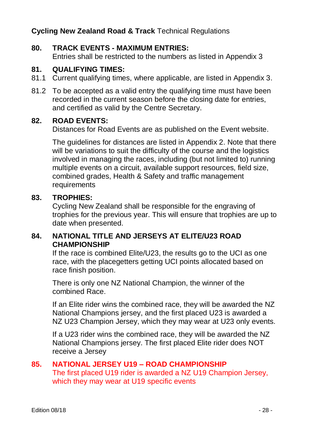### **80. TRACK EVENTS - MAXIMUM ENTRIES:**

Entries shall be restricted to the numbers as listed in Appendix 3

## 81. **QUALIFYING TIMES:**<br>81.1 Current qualifying time

- Eurrent qualifying times, where applicable, are listed in Appendix 3.
- 81.2 To be accepted as a valid entry the qualifying time must have been recorded in the current season before the closing date for entries, and certified as valid by the Centre Secretary.

### **82. ROAD EVENTS:**

Distances for Road Events are as published on the Event website.

The guidelines for distances are listed in Appendix 2. Note that there will be variations to suit the difficulty of the course and the logistics involved in managing the races, including (but not limited to) running multiple events on a circuit, available support resources, field size, combined grades, Health & Safety and traffic management requirements

### **83. TROPHIES:**

Cycling New Zealand shall be responsible for the engraving of trophies for the previous year. This will ensure that trophies are up to date when presented.

### **84. NATIONAL TITLE AND JERSEYS AT ELITE/U23 ROAD CHAMPIONSHIP**

If the race is combined Elite/U23, the results go to the UCI as one race, with the placegetters getting UCI points allocated based on race finish position.

There is only one NZ National Champion, the winner of the combined Race.

If an Elite rider wins the combined race, they will be awarded the NZ National Champions jersey, and the first placed U23 is awarded a NZ U23 Champion Jersey, which they may wear at U23 only events.

If a U23 rider wins the combined race, they will be awarded the NZ National Champions jersey. The first placed Elite rider does NOT receive a Jersey

### **85. NATIONAL JERSEY U19 – ROAD CHAMPIONSHIP** The first placed U19 rider is awarded a NZ U19 Champion Jersey,

which they may wear at U19 specific events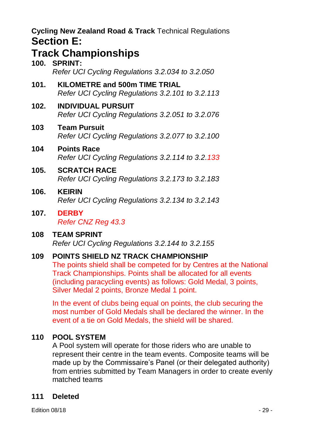### **Track Championships**

|      | <b>TIGUA VIRHIPIUISHIPS</b><br>100. SPRINT:<br>Refer UCI Cycling Regulations 3.2.034 to 3.2.050 |
|------|-------------------------------------------------------------------------------------------------|
| 101. | KILOMETRE and 500m TIME TRIAL<br>Refer UCI Cycling Regulations 3.2.101 to 3.2.113               |
| 102. | <b>INDIVIDUAL PURSUIT</b><br>Refer UCI Cycling Regulations 3.2.051 to 3.2.076                   |
| 103  | <b>Team Pursuit</b><br>Refer UCI Cycling Regulations 3.2.077 to 3.2.100                         |
| 104  | <b>Points Race</b><br>Refer UCI Cycling Regulations 3.2.114 to 3.2.133                          |
| 105. | <b>SCRATCH RACE</b><br>Refer UCI Cycling Regulations 3.2.173 to 3.2.183                         |
| 106. | <b>KEIRIN</b><br>Refer UCI Cycling Regulations 3.2.134 to 3.2.143                               |
| 107. | <b>DERBY</b>                                                                                    |

*Refer CNZ Reg 43.3*

### **108 TEAM SPRINT** *Refer UCI Cycling Regulations 3.2.144 to 3.2.155*

### **109 POINTS SHIELD NZ TRACK CHAMPIONSHIP**

The points shield shall be competed for by Centres at the National Track Championships. Points shall be allocated for all events (including paracycling events) as follows: Gold Medal, 3 points, Silver Medal 2 points, Bronze Medal 1 point.

In the event of clubs being equal on points, the club securing the most number of Gold Medals shall be declared the winner. In the event of a tie on Gold Medals, the shield will be shared.

### **110 POOL SYSTEM**

A Pool system will operate for those riders who are unable to represent their centre in the team events. Composite teams will be made up by the Commissaire's Panel (or their delegated authority) from entries submitted by Team Managers in order to create evenly matched teams

### **111 Deleted**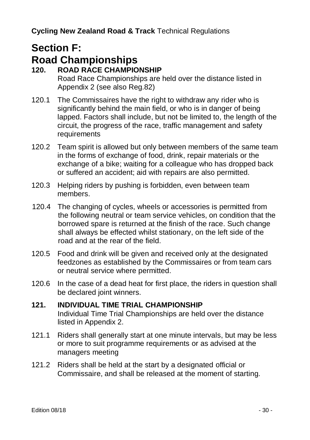## **Section F:**

## **Road Championships**

- **120. ROAD RACE CHAMPIONSHIP** Road Race Championships are held over the distance listed in Appendix 2 (see also Reg.82)
- 120.1 The Commissaires have the right to withdraw any rider who is significantly behind the main field, or who is in danger of being lapped. Factors shall include, but not be limited to, the length of the circuit, the progress of the race, traffic management and safety requirements
- 120.2 Team spirit is allowed but only between members of the same team in the forms of exchange of food, drink, repair materials or the exchange of a bike; waiting for a colleague who has dropped back or suffered an accident; aid with repairs are also permitted.
- 120.3 Helping riders by pushing is forbidden, even between team members.
- 120.4 The changing of cycles, wheels or accessories is permitted from the following neutral or team service vehicles, on condition that the borrowed spare is returned at the finish of the race. Such change shall always be effected whilst stationary, on the left side of the road and at the rear of the field.
- 120.5 Food and drink will be given and received only at the designated feedzones as established by the Commissaires or from team cars or neutral service where permitted.
- 120.6 In the case of a dead heat for first place, the riders in question shall be declared joint winners.

### **121. INDIVIDUAL TIME TRIAL CHAMPIONSHIP** Individual Time Trial Championships are held over the distance listed in Appendix 2.

- 121.1 Riders shall generally start at one minute intervals, but may be less or more to suit programme requirements or as advised at the managers meeting
- 121.2 Riders shall be held at the start by a designated official or Commissaire, and shall be released at the moment of starting.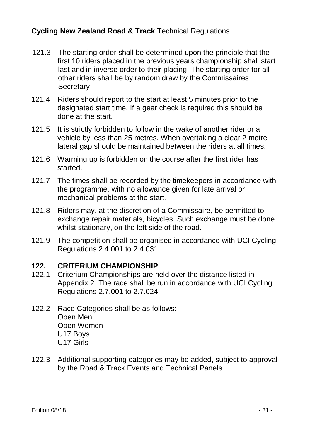- 121.3 The starting order shall be determined upon the principle that the first 10 riders placed in the previous years championship shall start last and in inverse order to their placing. The starting order for all other riders shall be by random draw by the Commissaires **Secretary**
- 121.4 Riders should report to the start at least 5 minutes prior to the designated start time. If a gear check is required this should be done at the start.
- 121.5 It is strictly forbidden to follow in the wake of another rider or a vehicle by less than 25 metres. When overtaking a clear 2 metre lateral gap should be maintained between the riders at all times.
- 121.6 Warming up is forbidden on the course after the first rider has started.
- 121.7 The times shall be recorded by the timekeepers in accordance with the programme, with no allowance given for late arrival or mechanical problems at the start.
- 121.8 Riders may, at the discretion of a Commissaire, be permitted to exchange repair materials, bicycles. Such exchange must be done whilst stationary, on the left side of the road.
- 121.9 The competition shall be organised in accordance with UCI Cycling Regulations 2.4.001 to 2.4.031

#### **122. CRITERIUM CHAMPIONSHIP**

- 122.1 Criterium Championships are held over the distance listed in Appendix 2. The race shall be run in accordance with UCI Cycling Regulations 2.7.001 to 2.7.024
- 122.2 Race Categories shall be as follows: Open Men Open Women U17 Boys U17 Girls
- 122.3 Additional supporting categories may be added, subject to approval by the Road & Track Events and Technical Panels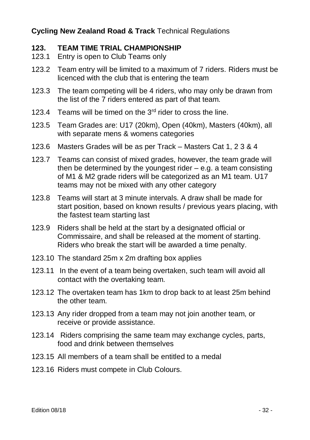## **123. TEAM TIME TRIAL CHAMPIONSHIP**<br>123.1 Entry is open to Club Teams only

- Entry is open to Club Teams only
- 123.2 Team entry will be limited to a maximum of 7 riders. Riders must be licenced with the club that is entering the team
- 123.3 The team competing will be 4 riders, who may only be drawn from the list of the 7 riders entered as part of that team.
- 123.4 Teams will be timed on the  $3<sup>rd</sup>$  rider to cross the line.
- 123.5 Team Grades are: U17 (20km), Open (40km), Masters (40km), all with separate mens & womens categories
- 123.6 Masters Grades will be as per Track Masters Cat 1, 2 3 & 4
- 123.7 Teams can consist of mixed grades, however, the team grade will then be determined by the youngest rider – e.g. a team consisting of M1 & M2 grade riders will be categorized as an M1 team. U17 teams may not be mixed with any other category
- 123.8 Teams will start at 3 minute intervals. A draw shall be made for start position, based on known results / previous years placing, with the fastest team starting last
- 123.9 Riders shall be held at the start by a designated official or Commissaire, and shall be released at the moment of starting. Riders who break the start will be awarded a time penalty.
- 123.10 The standard 25m x 2m drafting box applies
- 123.11 In the event of a team being overtaken, such team will avoid all contact with the overtaking team.
- 123.12 The overtaken team has 1km to drop back to at least 25m behind the other team.
- 123.13 Any rider dropped from a team may not join another team, or receive or provide assistance.
- 123.14 Riders comprising the same team may exchange cycles, parts, food and drink between themselves
- 123.15 All members of a team shall be entitled to a medal
- 123.16 Riders must compete in Club Colours.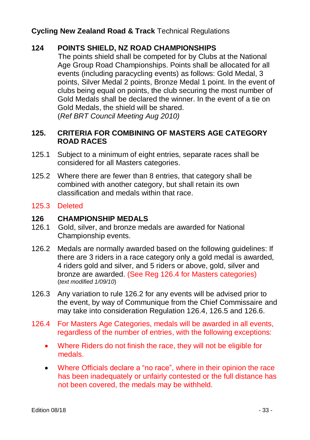### **124 POINTS SHIELD, NZ ROAD CHAMPIONSHIPS**

The points shield shall be competed for by Clubs at the National Age Group Road Championships. Points shall be allocated for all events (including paracycling events) as follows: Gold Medal, 3 points, Silver Medal 2 points, Bronze Medal 1 point. In the event of clubs being equal on points, the club securing the most number of Gold Medals shall be declared the winner. In the event of a tie on Gold Medals, the shield will be shared. (*Ref BRT Council Meeting Aug 2010)*

### **125. CRITERIA FOR COMBINING OF MASTERS AGE CATEGORY ROAD RACES**

- 125.1 Subject to a minimum of eight entries, separate races shall be considered for all Masters categories.
- 125.2 Where there are fewer than 8 entries, that category shall be combined with another category, but shall retain its own classification and medals within that race.

### 125.3 Deleted

### **126 CHAMPIONSHIP MEDALS**

- 126.1 Gold, silver, and bronze medals are awarded for National Championship events.
- 126.2 Medals are normally awarded based on the following guidelines: If there are 3 riders in a race category only a gold medal is awarded, 4 riders gold and silver, and 5 riders or above, gold, silver and bronze are awarded. (See Reg 126.4 for Masters categories) (*text modified 1/09/10*)
- 126.3 Any variation to rule 126.2 for any events will be advised prior to the event, by way of Communique from the Chief Commissaire and may take into consideration Regulation 126.4, 126.5 and 126.6.
- 126.4 For Masters Age Categories, medals will be awarded in all events, regardless of the number of entries, with the following exceptions:
	- Where Riders do not finish the race, they will not be eligible for medals.
	- Where Officials declare a "no race", where in their opinion the race has been inadequately or unfairly contested or the full distance has not been covered, the medals may be withheld.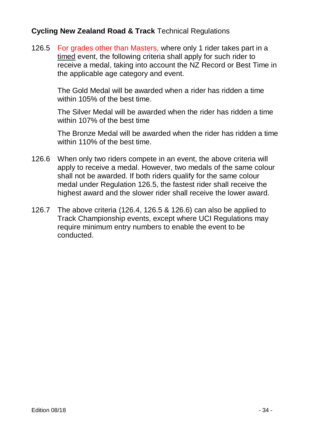126.5 For grades other than Masters, where only 1 rider takes part in a timed event, the following criteria shall apply for such rider to receive a medal, taking into account the NZ Record or Best Time in the applicable age category and event.

> The Gold Medal will be awarded when a rider has ridden a time within 105% of the best time.

The Silver Medal will be awarded when the rider has ridden a time within 107% of the best time

The Bronze Medal will be awarded when the rider has ridden a time within 110% of the best time.

- 126.6 When only two riders compete in an event, the above criteria will apply to receive a medal. However, two medals of the same colour shall not be awarded. If both riders qualify for the same colour medal under Regulation 126.5, the fastest rider shall receive the highest award and the slower rider shall receive the lower award.
- 126.7 The above criteria (126.4, 126.5 & 126.6) can also be applied to Track Championship events, except where UCI Regulations may require minimum entry numbers to enable the event to be conducted.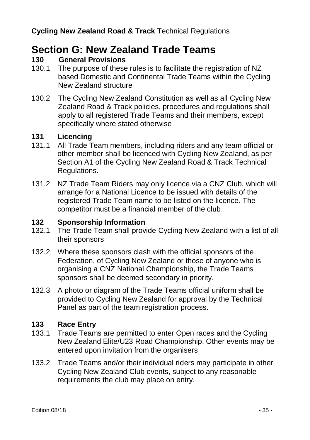### **Section G: New Zealand Trade Teams**

### **130 General Provisions**

- 130.1 The purpose of these rules is to facilitate the registration of NZ based Domestic and Continental Trade Teams within the Cycling New Zealand structure
- 130.2 The Cycling New Zealand Constitution as well as all Cycling New Zealand Road & Track policies, procedures and regulations shall apply to all registered Trade Teams and their members, except specifically where stated otherwise

### **131 Licencing**

- 131.1 All Trade Team members, including riders and any team official or other member shall be licenced with Cycling New Zealand, as per Section A1 of the Cycling New Zealand Road & Track Technical Regulations.
- 131.2 NZ Trade Team Riders may only licence via a CNZ Club, which will arrange for a National Licence to be issued with details of the registered Trade Team name to be listed on the licence. The competitor must be a financial member of the club.

### **132 Sponsorship Information**

- 132.1 The Trade Team shall provide Cycling New Zealand with a list of all their sponsors
- 132.2 Where these sponsors clash with the official sponsors of the Federation, of Cycling New Zealand or those of anyone who is organising a CNZ National Championship, the Trade Teams sponsors shall be deemed secondary in priority.
- 132.3 A photo or diagram of the Trade Teams official uniform shall be provided to Cycling New Zealand for approval by the Technical Panel as part of the team registration process.

### **133 Race Entry**

- 133.1 Trade Teams are permitted to enter Open races and the Cycling New Zealand Elite/U23 Road Championship. Other events may be entered upon invitation from the organisers
- 133.2 Trade Teams and/or their individual riders may participate in other Cycling New Zealand Club events, subject to any reasonable requirements the club may place on entry.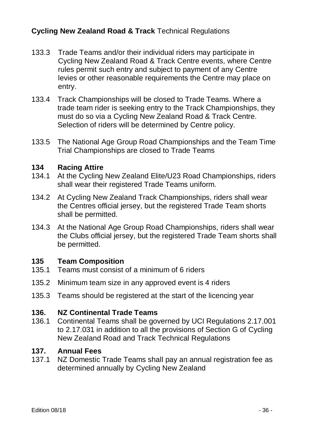- 133.3 Trade Teams and/or their individual riders may participate in Cycling New Zealand Road & Track Centre events, where Centre rules permit such entry and subject to payment of any Centre levies or other reasonable requirements the Centre may place on entry.
- 133.4 Track Championships will be closed to Trade Teams. Where a trade team rider is seeking entry to the Track Championships, they must do so via a Cycling New Zealand Road & Track Centre. Selection of riders will be determined by Centre policy.
- 133.5 The National Age Group Road Championships and the Team Time Trial Championships are closed to Trade Teams

#### **134 Racing Attire**

- 134.1 At the Cycling New Zealand Elite/U23 Road Championships, riders shall wear their registered Trade Teams uniform.
- 134.2 At Cycling New Zealand Track Championships, riders shall wear the Centres official jersey, but the registered Trade Team shorts shall be permitted.
- 134.3 At the National Age Group Road Championships, riders shall wear the Clubs official jersey, but the registered Trade Team shorts shall be permitted.

#### **135 Team Composition**

- 135.1 Teams must consist of a minimum of 6 riders
- 135.2 Minimum team size in any approved event is 4 riders
- 135.3 Teams should be registered at the start of the licencing year

#### **136. NZ Continental Trade Teams**

136.1 Continental Teams shall be governed by UCI Regulations 2.17.001 to 2.17.031 in addition to all the provisions of Section G of Cycling New Zealand Road and Track Technical Regulations

### **137. Annual Fees**

137.1 NZ Domestic Trade Teams shall pay an annual registration fee as determined annually by Cycling New Zealand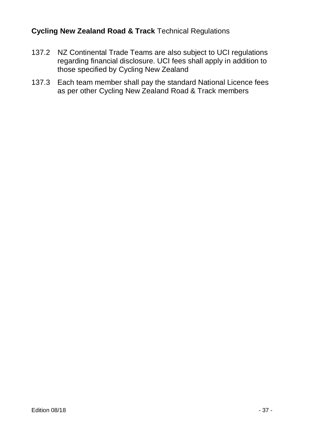- 137.2 NZ Continental Trade Teams are also subject to UCI regulations regarding financial disclosure. UCI fees shall apply in addition to those specified by Cycling New Zealand
- 137.3 Each team member shall pay the standard National Licence fees as per other Cycling New Zealand Road & Track members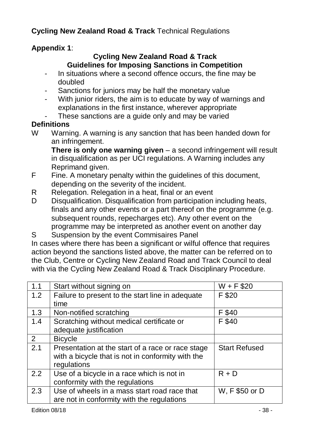### **Appendix 1**:

### **Cycling New Zealand Road & Track Guidelines for Imposing Sanctions in Competition**

- In situations where a second offence occurs, the fine may be doubled
- Sanctions for juniors may be half the monetary value
- With junior riders, the aim is to educate by way of warnings and explanations in the first instance, wherever appropriate
- These sanctions are a guide only and may be varied

### **Definitions**

W Warning. A warning is any sanction that has been handed down for an infringement.

**There is only one warning given** – a second infringement will result in disqualification as per UCI regulations. A Warning includes any Reprimand given.

- F Fine. A monetary penalty within the guidelines of this document, depending on the severity of the incident.
- R Relegation. Relegation in a heat, final or an event
- D Disqualification. Disqualification from participation including heats, finals and any other events or a part thereof on the programme (e.g. subsequent rounds, repecharges etc). Any other event on the programme may be interpreted as another event on another day
- S Suspension by the event Commisaires Panel

In cases where there has been a significant or wilful offence that requires action beyond the sanctions listed above, the matter can be referred on to the Club, Centre or Cycling New Zealand Road and Track Council to deal with via the Cycling New Zealand Road & Track Disciplinary Procedure.

| 1.1              | Start without signing on                          | $W + F $20$          |
|------------------|---------------------------------------------------|----------------------|
| 1.2              | Failure to present to the start line in adequate  | F \$20               |
|                  | time                                              |                      |
| 1.3              | Non-notified scratching                           | F \$40               |
| 1.4              | Scratching without medical certificate or         | F \$40               |
|                  | adequate justification                            |                      |
| 2                | <b>Bicycle</b>                                    |                      |
| $\overline{2.1}$ | Presentation at the start of a race or race stage | <b>Start Refused</b> |
|                  | with a bicycle that is not in conformity with the |                      |
|                  | regulations                                       |                      |
| 2.2              | Use of a bicycle in a race which is not in        | $R + D$              |
|                  | conformity with the regulations                   |                      |
| 2.3              | Use of wheels in a mass start road race that      | W, F \$50 or D       |
|                  | are not in conformity with the regulations        |                      |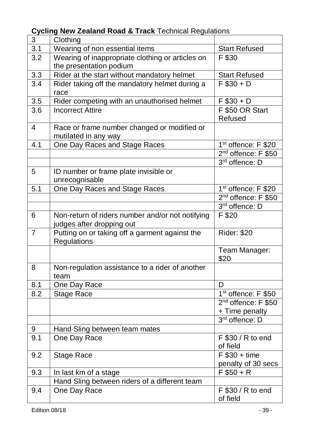| 3                | Clothing                                                |                                 |
|------------------|---------------------------------------------------------|---------------------------------|
| $\overline{3.1}$ | Wearing of non essential items                          | <b>Start Refused</b>            |
| 3.2              | Wearing of inappropriate clothing or articles on        | F \$30                          |
|                  | the presentation podium                                 |                                 |
| 3.3              | Rider at the start without mandatory helmet             | <b>Start Refused</b>            |
| 3.4              | Rider taking off the mandatory helmet during a          | $F $30 + D$                     |
|                  | race                                                    |                                 |
| 3.5              | Rider competing with an unauthorised helmet             | $F $30 + D$                     |
| 3.6              | <b>Incorrect Attire</b>                                 | F \$50 OR Start                 |
|                  |                                                         | Refused                         |
| 4                | Race or frame number changed or modified or             |                                 |
|                  | mutilated in any way                                    |                                 |
| 4.1              | One Day Races and Stage Races                           | 1 <sup>st</sup> offence: F \$20 |
|                  |                                                         | $2nd$ offence: F \$50           |
|                  |                                                         | 3rd offence: D                  |
| 5                | ID number or frame plate invisible or<br>unrecognisable |                                 |
| $\overline{5.1}$ | One Day Races and Stage Races                           | 1 <sup>st</sup> offence: F \$20 |
|                  |                                                         | 2 <sup>nd</sup> offence: F \$50 |
|                  |                                                         | 3rd offence: D                  |
| 6                | Non-return of riders number and/or not notifying        | F \$20                          |
|                  | judges after dropping out                               |                                 |
| $\overline{7}$   | Putting on or taking off a garment against the          | <b>Rider: \$20</b>              |
|                  | Regulations                                             |                                 |
|                  |                                                         | Team Manager:                   |
|                  |                                                         | \$20                            |
| 8                | Non-regulation assistance to a rider of another         |                                 |
|                  | team                                                    |                                 |
| 8.1              | One Day Race                                            | $\overline{D}$                  |
| 8.2              | <b>Stage Race</b>                                       | 1 <sup>st</sup> offence: F \$50 |
|                  |                                                         | 2 <sup>nd</sup> offence: F \$50 |
|                  |                                                         | + Time penalty                  |
|                  |                                                         | 3rd offence: D                  |
| 9                | Hand Sling between team mates                           |                                 |
| 9.1              | One Day Race                                            | F \$30 / R to end               |
|                  |                                                         | of field                        |
| 9.2              | Stage Race                                              | $F $30 + time$                  |
|                  |                                                         | penalty of 30 secs              |
| 9.3              | In last km of a stage                                   | $F $50 + R$                     |
|                  | Hand Sling between riders of a different team           |                                 |
| 9.4              | One Day Race                                            | F \$30 / R to end               |
|                  |                                                         | of field                        |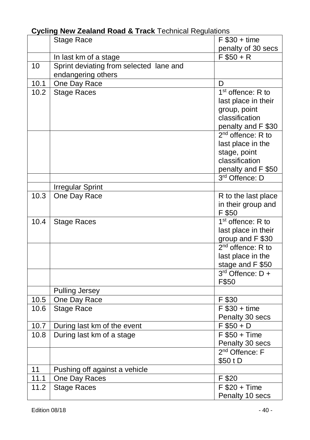|      | Stage Race                              | $F $30 + time$                      |
|------|-----------------------------------------|-------------------------------------|
|      |                                         | penalty of 30 secs                  |
|      | In last km of a stage                   | $F $50 + R$                         |
| 10   | Sprint deviating from selected lane and |                                     |
|      | endangering others                      |                                     |
| 10.1 | One Day Race                            | D                                   |
| 10.2 | <b>Stage Races</b>                      | $1st$ offence: R to                 |
|      |                                         | last place in their                 |
|      |                                         | group, point                        |
|      |                                         | classification                      |
|      |                                         | penalty and F \$30                  |
|      |                                         | $2nd$ offence: R to                 |
|      |                                         | last place in the                   |
|      |                                         | stage, point                        |
|      |                                         | classification                      |
|      |                                         | penalty and F \$50                  |
|      |                                         | 3rd Offence: D                      |
|      | <b>Irregular Sprint</b>                 |                                     |
| 10.3 | One Day Race                            | R to the last place                 |
|      |                                         | in their group and                  |
|      |                                         | F \$50                              |
| 10.4 | <b>Stage Races</b>                      | 1 <sup>st</sup> offence: R to       |
|      |                                         | last place in their                 |
|      |                                         | group and F \$30                    |
|      |                                         | $2nd$ offence: R to                 |
|      |                                         | last place in the                   |
|      |                                         | stage and F \$50                    |
|      |                                         | $3rd$ Offence: $D +$                |
|      |                                         | F\$50                               |
|      | Pulling Jersey                          |                                     |
| 10.5 | One Day Race                            | F \$30                              |
| 10.6 | <b>Stage Race</b>                       | $F $30 + time$                      |
|      |                                         | Penalty 30 secs                     |
| 10.7 | During last km of the event             | $F $50 + D$                         |
| 10.8 | During last km of a stage               | $\overline{F}$ \$50 + Time          |
|      |                                         | Penalty 30 secs<br>$2nd$ Offence: F |
|      |                                         |                                     |
|      |                                         | \$50 t D                            |
| 11   | Pushing off against a vehicle           |                                     |
| 11.1 | One Day Races                           | F \$20                              |
| 11.2 | <b>Stage Races</b>                      | $F $20 + Time$                      |
|      |                                         | Penalty 10 secs                     |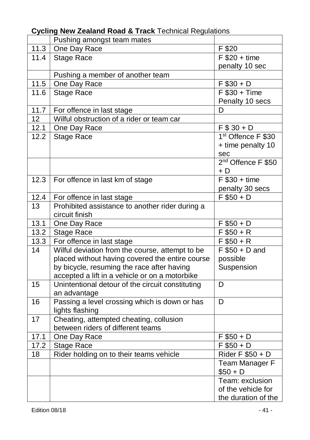|                   | Pushing amongst team mates                       |                                           |
|-------------------|--------------------------------------------------|-------------------------------------------|
| 11.3              | One Day Race                                     | F \$20                                    |
| 11.4              | <b>Stage Race</b>                                | $F $20 + time$                            |
|                   |                                                  | penalty 10 sec                            |
|                   | Pushing a member of another team                 |                                           |
| 11.5              | One Day Race                                     | $F $30 + D$                               |
| 11.6              | <b>Stage Race</b>                                | $F $30 + Time$                            |
|                   |                                                  | Penalty 10 secs                           |
| 11.7              | For offence in last stage                        | D                                         |
| 12                | Wilful obstruction of a rider or team car        |                                           |
| 12.1              | One Day Race                                     | $F $30 + D$                               |
| 12.2              | Stage Race                                       | 1 <sup>st</sup> Offence F \$30            |
|                   |                                                  | + time penalty 10                         |
|                   |                                                  | sec                                       |
|                   |                                                  | 2 <sup>nd</sup> Offence F \$50            |
|                   |                                                  | + D                                       |
| 12.3              | For offence in last km of stage                  | $F $30 + time$                            |
|                   |                                                  | penalty 30 secs                           |
| 12.4              | For offence in last stage                        | $\overline{F $50 + D}$                    |
| 13                | Prohibited assistance to another rider during a  |                                           |
|                   | circuit finish                                   |                                           |
| 13.1              | One Day Race                                     | $F $50 + D$                               |
| $\overline{1}3.2$ | <b>Stage Race</b>                                | $F $50 + R$                               |
| 13.3              | For offence in last stage                        | $F $50 + R$                               |
| 14                | Wilful deviation from the course, attempt to be  | $F $50 + D$ and                           |
|                   | placed without having covered the entire course  | possible                                  |
|                   | by bicycle, resuming the race after having       | Suspension                                |
|                   | accepted a lift in a vehicle or on a motorbike   |                                           |
| 15                | Unintentional detour of the circuit constituting | D                                         |
|                   | an advantage                                     |                                           |
| 16                | Passing a level crossing which is down or has    | D                                         |
|                   | lights flashing                                  |                                           |
| 17                | Cheating, attempted cheating, collusion          |                                           |
|                   | between riders of different teams                |                                           |
| 17.1              | One Day Race                                     | $F $50 + D$                               |
| 17.2              | Stage Race                                       | $\overline{F}$ \$50 + D                   |
| 18                | Rider holding on to their teams vehicle          | Rider F $\overline{$50 + D}$              |
|                   |                                                  | Team Manager F                            |
|                   |                                                  | $$50 + D$                                 |
|                   |                                                  | Team: exclusion                           |
|                   |                                                  |                                           |
|                   |                                                  | of the vehicle for<br>the duration of the |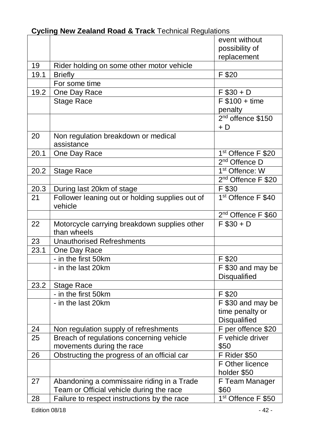|                   |                                                                                                                                       | event without                          |
|-------------------|---------------------------------------------------------------------------------------------------------------------------------------|----------------------------------------|
|                   |                                                                                                                                       | possibility of                         |
|                   |                                                                                                                                       | replacement                            |
| 19                | Rider holding on some other motor vehicle                                                                                             |                                        |
| 19.1              | <b>Briefly</b>                                                                                                                        | F \$20                                 |
|                   | For some time                                                                                                                         |                                        |
| 19.2              | One Day Race                                                                                                                          | $F $30 + D$                            |
|                   | Stage Race                                                                                                                            | $F $100 + time$                        |
|                   |                                                                                                                                       | penalty                                |
|                   |                                                                                                                                       | $2nd$ offence \$150                    |
|                   |                                                                                                                                       | $+ D$                                  |
| 20                | Non regulation breakdown or medical<br>assistance                                                                                     |                                        |
| 20.1              | One Day Race                                                                                                                          | 1 <sup>st</sup> Offence F \$20         |
|                   |                                                                                                                                       | 2 <sup>nd</sup> Offence D              |
| 20.2              | Stage Race                                                                                                                            | 1 <sup>st</sup> Offence: W             |
|                   |                                                                                                                                       | 2 <sup>nd</sup> Offence F \$20         |
| 20.3              | During last 20km of stage                                                                                                             | $\overline{F}$ \$30                    |
| 21                | Follower leaning out or holding supplies out of<br>vehicle                                                                            | 1 <sup>st</sup> Offence F \$40         |
|                   |                                                                                                                                       | 2 <sup>nd</sup> Offence F \$60         |
| 22                | Motorcycle carrying breakdown supplies other<br>than wheels                                                                           | $F $30 + D$                            |
| 23                | <b>Unauthorised Refreshments</b>                                                                                                      |                                        |
| $\overline{23.1}$ | One Day Race                                                                                                                          |                                        |
|                   | - in the first 50km                                                                                                                   | F \$20                                 |
|                   | - in the last 20km                                                                                                                    | F \$30 and may be                      |
|                   |                                                                                                                                       | Disqualified                           |
| 23.2              | Stage Race                                                                                                                            |                                        |
|                   | - in the first 50km                                                                                                                   | F \$20                                 |
|                   | - in the last 20km                                                                                                                    | F \$30 and may be                      |
|                   |                                                                                                                                       | time penalty or                        |
|                   |                                                                                                                                       |                                        |
| 24                |                                                                                                                                       | Disqualified                           |
|                   | Non regulation supply of refreshments                                                                                                 | F per offence \$20                     |
| 25                | Breach of regulations concerning vehicle                                                                                              | F vehicle driver                       |
|                   | movements during the race                                                                                                             | \$50                                   |
| 26                |                                                                                                                                       | F Rider \$50                           |
|                   | Obstructing the progress of an official car                                                                                           | F Other licence                        |
|                   |                                                                                                                                       | holder \$50                            |
| 27                |                                                                                                                                       | F Team Manager                         |
|                   | Abandoning a commissaire riding in a Trade<br>Team or Official vehicle during the race<br>Failure to respect instructions by the race | \$60<br>1 <sup>st</sup> Offence F \$50 |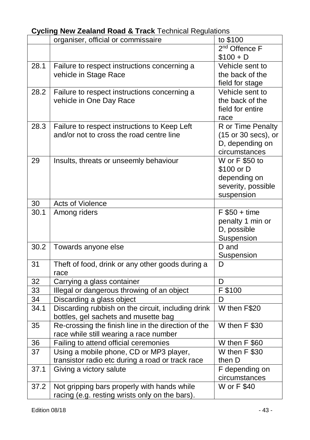|      | organiser, official or commissaire                  | to \$100                  |
|------|-----------------------------------------------------|---------------------------|
|      |                                                     | 2 <sup>nd</sup> Offence F |
|      |                                                     | $$100 + D$                |
| 28.1 | Failure to respect instructions concerning a        | Vehicle sent to           |
|      | vehicle in Stage Race                               | the back of the           |
|      |                                                     | field for stage           |
| 28.2 | Failure to respect instructions concerning a        | Vehicle sent to           |
|      | vehicle in One Day Race                             | the back of the           |
|      |                                                     | field for entire          |
|      |                                                     | race                      |
| 28.3 | Failure to respect instructions to Keep Left        | R or Time Penalty         |
|      | and/or not to cross the road centre line            | (15 or 30 secs), or       |
|      |                                                     | D, depending on           |
|      |                                                     | circumstances             |
| 29   | Insults, threats or unseemly behaviour              | W or F \$50 to            |
|      |                                                     | \$100 or D                |
|      |                                                     | depending on              |
|      |                                                     | severity, possible        |
|      |                                                     | suspension                |
| 30   | Acts of Violence                                    |                           |
| 30.1 | Among riders                                        | $F $50 + time$            |
|      |                                                     | penalty 1 min or          |
|      |                                                     | D, possible               |
|      |                                                     | Suspension                |
| 30.2 | Towards anyone else                                 | D and                     |
|      |                                                     | Suspension                |
| 31   | Theft of food, drink or any other goods during a    | D                         |
|      | race                                                |                           |
| 32   | Carrying a glass container                          | D                         |
| 33   | Illegal or dangerous throwing of an object          | F \$100                   |
| 34   | Discarding a glass object                           | D                         |
| 34.1 | Discarding rubbish on the circuit, including drink  | W then F\$20              |
|      | bottles, gel sachets and musette bag                |                           |
| 35   | Re-crossing the finish line in the direction of the | W then F \$30             |
|      | race while still wearing a race number              |                           |
| 36   | Failing to attend official ceremonies               | W then F \$60             |
| 37   | Using a mobile phone, CD or MP3 player,             | W then F \$30             |
|      | transistor radio etc during a road or track race    | then D                    |
| 37.1 | Giving a victory salute                             | F depending on            |
|      |                                                     | circumstances             |
| 37.2 | Not gripping bars properly with hands while         | W or F \$40               |
|      | racing (e.g. resting wrists only on the bars).      |                           |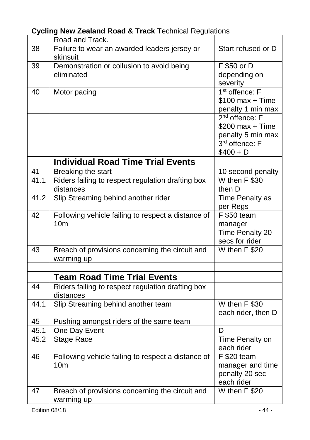|                 | Road and Track.                                          |                                          |
|-----------------|----------------------------------------------------------|------------------------------------------|
| 38              | Failure to wear an awarded leaders jersey or<br>skinsuit | Start refused or D                       |
| 39              | Demonstration or collusion to avoid being                | F \$50 or D                              |
|                 | eliminated                                               | depending on                             |
|                 |                                                          | severity                                 |
| 40              | Motor pacing                                             | 1 <sup>st</sup> offence: F               |
|                 |                                                          | $$100$ max + Time                        |
|                 |                                                          | penalty 1 min max                        |
|                 |                                                          | 2 <sup>nd</sup> offence: F               |
|                 |                                                          | $$200$ max + Time                        |
|                 |                                                          | penalty 5 min max                        |
|                 |                                                          | 3 <sup>rd</sup> offence: F               |
|                 |                                                          | $$400 + D$                               |
|                 | <b>Individual Road Time Trial Events</b>                 |                                          |
| 41              | Breaking the start                                       | 10 second penalty                        |
| 41.1            | Riders failing to respect regulation drafting box        | W then F \$30                            |
|                 | distances                                                | then D                                   |
| 41.2            | Slip Streaming behind another rider                      | Time Penalty as                          |
|                 |                                                          | per Regs                                 |
| 42              | Following vehicle failing to respect a distance of       | F \$50 team                              |
|                 | 10 <sub>m</sub>                                          | manager                                  |
|                 |                                                          | <b>Time Penalty 20</b><br>secs for rider |
| $\overline{43}$ | Breach of provisions concerning the circuit and          | W then F \$20                            |
|                 | warming up                                               |                                          |
|                 |                                                          |                                          |
|                 | <b>Team Road Time Trial Events</b>                       |                                          |
| 44              | Riders failing to respect regulation drafting box        |                                          |
|                 | distances                                                |                                          |
| 44.1            | Slip Streaming behind another team                       | W then F \$30                            |
|                 |                                                          | each rider, then D                       |
| 45              | Pushing amongst riders of the same team                  |                                          |
| 45.1            | One Day Event                                            | D                                        |
| 45.2            | Stage Race                                               | Time Penalty on                          |
|                 |                                                          | each rider                               |
| 46              | Following vehicle failing to respect a distance of       | F \$20 team                              |
|                 | 10 <sub>m</sub>                                          | manager and time                         |
|                 |                                                          | penalty 20 sec                           |
|                 |                                                          | each rider                               |
| 47              | Breach of provisions concerning the circuit and          | W then F \$20                            |
|                 | warming up                                               |                                          |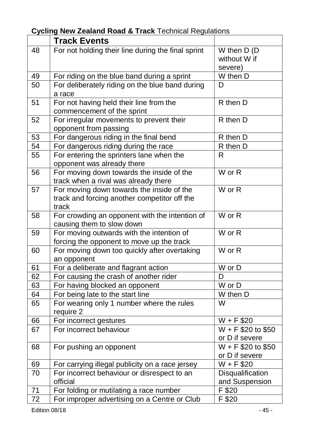#### **Track Events** 48 For not holding their line during the final sprint W then D (D without W if severe)<br>W then D 49 For riding on the blue band during a sprint<br>50 For deliberately riding on the blue band du 50 For deliberately riding on the blue band during a race  $\overline{D}$ 51 For not having held their line from the commencement of the sprint R then D 52 For irregular movements to prevent their opponent from passing R then D 53 For dangerous riding in the final bend<br>54 For dangerous riding during the race R then D 54 For dangerous riding during the race 55 For entering the sprinters lane when the opponent was already there R 56 For moving down towards the inside of the track when a rival was already there W or R 57 For moving down towards the inside of the track and forcing another competitor off the track W or R 58 For crowding an opponent with the intention of causing them to slow down W or R 59 For moving outwards with the intention of forcing the opponent to move up the track W or R 60 For moving down too quickly after overtaking an opponent W or R 61 For a deliberate and flagrant action W or D 62 For causing the crash of another rider D<br>63 For having blocked an opponent W or D 63 For having blocked an opponent W or D<br>64 For being late to the start line W then D 64 For being late to the start line 65 For wearing only 1 number where the rules require 2 W  $\begin{array}{|l|l|l|l|}\n\hline\n66 & \text{For incorrect gestures} & & \text{W + F $20} \\
\hline\n67 & \text{For incorrect behaviour} & & \text{W + F $20 to $50}\n\end{array}$  $67$  For incorrect behaviour or D if severe<br>W + F \$20 to \$50  $68$  For pushing an opponent or D if severe<br> $W + F$ \$20 69 For carrying illegal publicity on a race jersey W + F \$20 70 For incorrect behaviour or disrespect to an official **Disqualification** and Suspension<br>F \$20  $71$  For folding or mutilating a race number 72 For improper advertising on a Centre or Club F \$20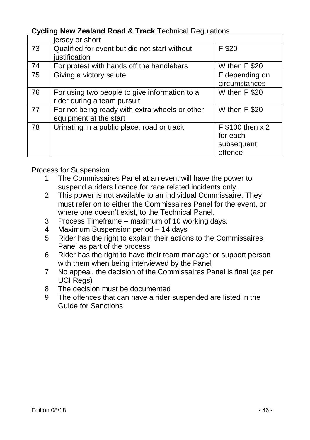|    | jersey or short                                                              |                                                       |
|----|------------------------------------------------------------------------------|-------------------------------------------------------|
| 73 | Qualified for event but did not start without<br>justification               | F \$20                                                |
| 74 |                                                                              |                                                       |
|    | For protest with hands off the handlebars                                    | W then F \$20                                         |
| 75 | Giving a victory salute                                                      | F depending on                                        |
|    |                                                                              | circumstances                                         |
| 76 | For using two people to give information to a<br>rider during a team pursuit | W then F \$20                                         |
| 77 | For not being ready with extra wheels or other<br>equipment at the start     | W then F \$20                                         |
| 78 | Urinating in a public place, road or track                                   | F \$100 then x 2<br>for each<br>subsequent<br>offence |

Process for Suspension

- 1 The Commissaires Panel at an event will have the power to suspend a riders licence for race related incidents only.
- 2 This power is not available to an individual Commissaire. They must refer on to either the Commissaires Panel for the event, or where one doesn't exist, to the Technical Panel.
- 3 Process Timeframe maximum of 10 working days.
- 4 Maximum Suspension period 14 days
- 5 Rider has the right to explain their actions to the Commissaires Panel as part of the process
- 6 Rider has the right to have their team manager or support person with them when being interviewed by the Panel
- 7 No appeal, the decision of the Commissaires Panel is final (as per UCI Regs)
- 8 The decision must be documented
- 9 The offences that can have a rider suspended are listed in the Guide for Sanctions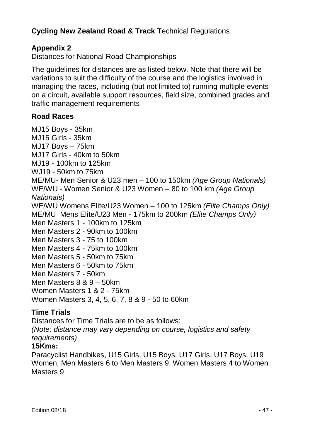### **Appendix 2**

Distances for National Road Championships

The guidelines for distances are as listed below. Note that there will be variations to suit the difficulty of the course and the logistics involved in managing the races, including (but not limited to) running multiple events on a circuit, available support resources, field size, combined grades and traffic management requirements

### **Road Races**

MJ15 Boys - 35km MJ15 Girls - 35km MJ17 Boys – 75km MJ17 Girls - 40km to 50km MJ19 - 100km to 125km WJ19 - 50km to 75km ME/MU- Men Senior & U23 men – 100 to 150km *(Age Group Nationals)* WE/WU - Women Senior & U23 Women – 80 to 100 km *(Age Group Nationals)* WE/WU Womens Elite/U23 Women – 100 to 125km *(Elite Champs Only)* ME/MU Mens Elite/U23 Men - 175km to 200km *(Elite Champs Only)* Men Masters 1 - 100km to 125km Men Masters 2 - 90km to 100km Men Masters 3 - 75 to 100km Men Masters 4 - 75km to 100km Men Masters 5 - 50km to 75km Men Masters 6 - 50km to 75km Men Masters 7 - 50km Men Masters 8 & 9 – 50km Women Masters 1 & 2 - 75km Women Masters 3, 4, 5, 6, 7, 8 & 9 - 50 to 60km

### **Time Trials**

Distances for Time Trials are to be as follows: *(Note: distance may vary depending on course, logistics and safety requirements)* **15Kms:**

Paracyclist Handbikes, U15 Girls, U15 Boys, U17 Girls, U17 Boys, U19 Women, Men Masters 6 to Men Masters 9, Women Masters 4 to Women Masters 9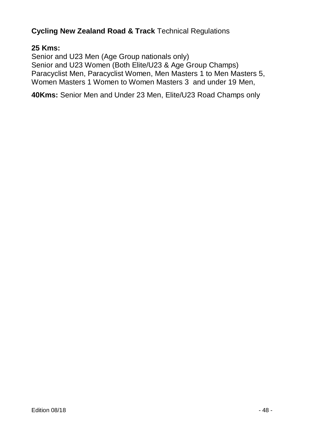### **25 Kms:**

Senior and U23 Men (Age Group nationals only) Senior and U23 Women (Both Elite/U23 & Age Group Champs) Paracyclist Men, Paracyclist Women, Men Masters 1 to Men Masters 5, Women Masters 1 Women to Women Masters 3 and under 19 Men,

**40Kms:** Senior Men and Under 23 Men, Elite/U23 Road Champs only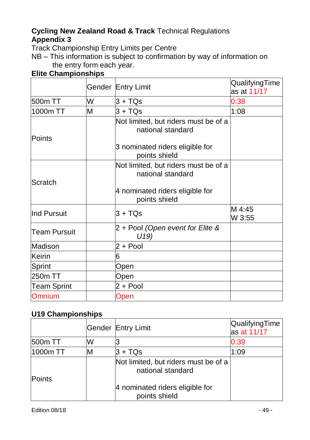Track Championship Entry Limits per Centre

NB – This information is subject to confirmation by way of information on the entry form each year.

### **Elite Championships**

|                    |   | Gender Entry Limit                                        | QualifyingTime<br>as at 11/17 |
|--------------------|---|-----------------------------------------------------------|-------------------------------|
| 500m TT            | W | $3 + TQs$                                                 | 0:38                          |
| 1000m TT           | м | $3 + TQs$                                                 | 1:08                          |
| Points             |   | Not limited, but riders must be of a<br>national standard |                               |
|                    |   | 3 nominated riders eligible for<br>points shield          |                               |
| Scratch            |   | Not limited, but riders must be of a<br>national standard |                               |
|                    |   | 4 nominated riders eligible for<br>points shield          |                               |
| lInd Pursuit       |   | $3 + TOs$                                                 | M 4:45<br>W 3:55              |
| Team Pursuit       |   | 2 + Pool (Open event for Elite &<br>U(19)                 |                               |
| Madison            |   | $2 + Pool$                                                |                               |
| Keirin             |   | 6                                                         |                               |
| Sprint             |   | Open                                                      |                               |
| 250m TT            |   | Open                                                      |                               |
| <b>Team Sprint</b> |   | $2 + Pool$                                                |                               |
| Omnium             |   | Open                                                      |                               |

### **U19 Championships**

|               |   | Gender Entry Limit                                        | QualifyingTime<br>as at 11/17 |
|---------------|---|-----------------------------------------------------------|-------------------------------|
| 500m TT       | w |                                                           | 0:39                          |
| 1000m TT      |   | $3 + TQs$                                                 | 1:09                          |
| <b>Points</b> |   | Not limited, but riders must be of a<br>national standard |                               |
|               |   | 4 nominated riders eligible for<br>points shield          |                               |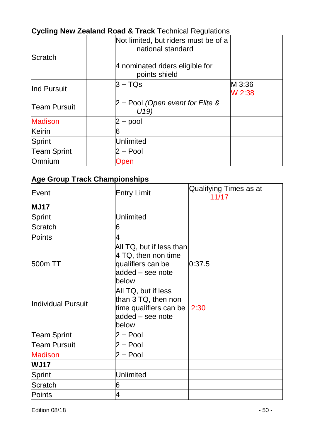| <b>Cycling New Zealand Road &amp; Frack Technical Regulations</b> |                                                           |                  |  |
|-------------------------------------------------------------------|-----------------------------------------------------------|------------------|--|
| Scratch                                                           | Not limited, but riders must be of a<br>national standard |                  |  |
|                                                                   | 4 nominated riders eligible for<br>points shield          |                  |  |
| lInd Pursuit                                                      | $3 + TOs$                                                 | M 3:36<br>W 2:38 |  |
| <b>Team Pursuit</b>                                               | 2 + Pool (Open event for Elite &<br>U19)                  |                  |  |
| <b>Madison</b>                                                    | 2 + pool                                                  |                  |  |
| Keirin                                                            | 6                                                         |                  |  |
| Sprint                                                            | Unlimited                                                 |                  |  |
| <b>Team Sprint</b>                                                | $2 + Pool$                                                |                  |  |
| Omnium                                                            | Open                                                      |                  |  |

### **Age Group Track Championships**

| Event                         | <b>Entry Limit</b>                                                                                                                                                                                    | Qualifying Times as at<br>11/17 |
|-------------------------------|-------------------------------------------------------------------------------------------------------------------------------------------------------------------------------------------------------|---------------------------------|
| <b>MJ17</b>                   |                                                                                                                                                                                                       |                                 |
| Sprint                        | Unlimited                                                                                                                                                                                             |                                 |
| Scratch                       | 6                                                                                                                                                                                                     |                                 |
| Points                        | 4                                                                                                                                                                                                     |                                 |
| 500m TT<br>Individual Pursuit | All TQ, but if less than<br>4 TQ, then non time<br>qualifiers can be<br>added - see note<br>below<br>All TQ, but if less<br>than 3 TQ, then non<br>time qualifiers can be $ 2:30$<br>added - see note | 0:37.5                          |
| <b>Team Sprint</b>            | below<br>$2 + Pool$                                                                                                                                                                                   |                                 |
| <b>Team Pursuit</b>           | $2 + Pool$                                                                                                                                                                                            |                                 |
| <b>Madison</b>                | 2 + Pool                                                                                                                                                                                              |                                 |
| <b>WJ17</b>                   |                                                                                                                                                                                                       |                                 |
| Sprint                        | Unlimited                                                                                                                                                                                             |                                 |
| Scratch                       | 6                                                                                                                                                                                                     |                                 |
| Points                        | 4                                                                                                                                                                                                     |                                 |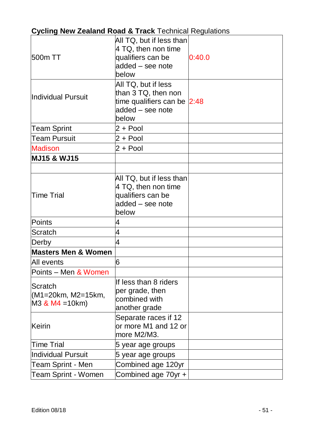| 500m TT                                          | All TQ, but if less than<br>4 TQ, then non time<br>qualifiers can be<br>added - see note<br>below      | 0:40.0 |
|--------------------------------------------------|--------------------------------------------------------------------------------------------------------|--------|
| Individual Pursuit                               | All TQ, but if less<br>than 3 TQ, then non<br>time qualifiers can be 2:48<br>added - see note<br>below |        |
| <b>Team Sprint</b>                               | $2 + Pool$                                                                                             |        |
| <b>Team Pursuit</b>                              | $2 + Pool$                                                                                             |        |
| <b>Madison</b>                                   | $2 + Pool$                                                                                             |        |
| <b>MJ15 &amp; WJ15</b>                           |                                                                                                        |        |
|                                                  |                                                                                                        |        |
| <b>Time Trial</b>                                | All TQ, but if less than<br>4 TQ, then non time<br>qualifiers can be<br>added - see note<br>below      |        |
| Points                                           | 4                                                                                                      |        |
| Scratch                                          | $\overline{\mathbf{4}}$                                                                                |        |
| Derby                                            | $\overline{\mathbf{4}}$                                                                                |        |
| <b>Masters Men &amp; Women</b>                   |                                                                                                        |        |
| All events                                       | 6                                                                                                      |        |
| Points - Men & Women                             |                                                                                                        |        |
| Scratch<br>(M1=20km, M2=15km,<br>M3 & M4 = 10km) | If less than 8 riders<br>per grade, then<br>combined with<br>another grade                             |        |
| Keirin                                           | Separate races if 12<br>or more M1 and 12 or<br>more M2/M3.                                            |        |
| <b>Time Trial</b>                                | 5 year age groups                                                                                      |        |
| <b>Individual Pursuit</b>                        | 5 year age groups                                                                                      |        |
| Team Sprint - Men                                | Combined age 120yr                                                                                     |        |
| Team Sprint - Women                              | Combined age 70yr +                                                                                    |        |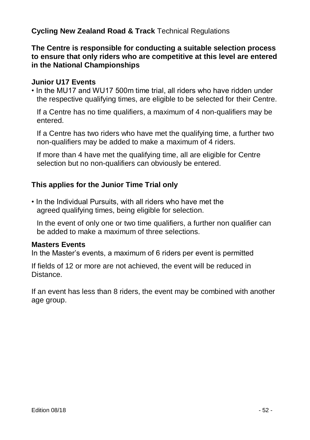**The Centre is responsible for conducting a suitable selection process to ensure that only riders who are competitive at this level are entered in the National Championships**

### **Junior U17 Events**

• In the MU17 and WU17 500m time trial, all riders who have ridden under the respective qualifying times, are eligible to be selected for their Centre.

If a Centre has no time qualifiers, a maximum of 4 non-qualifiers may be entered.

If a Centre has two riders who have met the qualifying time, a further two non-qualifiers may be added to make a maximum of 4 riders.

If more than 4 have met the qualifying time, all are eligible for Centre selection but no non-qualifiers can obviously be entered.

### **This applies for the Junior Time Trial only**

• In the Individual Pursuits, with all riders who have met the agreed qualifying times, being eligible for selection.

In the event of only one or two time qualifiers, a further non qualifier can be added to make a maximum of three selections.

#### **Masters Events**

In the Master's events, a maximum of 6 riders per event is permitted

If fields of 12 or more are not achieved, the event will be reduced in Distance.

If an event has less than 8 riders, the event may be combined with another age group.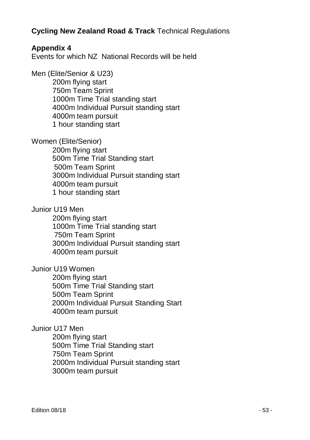### **Appendix 4**

Events for which NZ National Records will be held

Men (Elite/Senior & U23)

200m flying start 750m Team Sprint 1000m Time Trial standing start 4000m Individual Pursuit standing start 4000m team pursuit 1 hour standing start

Women (Elite/Senior)

200m flying start 500m Time Trial Standing start 500m Team Sprint 3000m Individual Pursuit standing start 4000m team pursuit 1 hour standing start

Junior U19 Men

200m flying start 1000m Time Trial standing start 750m Team Sprint 3000m Individual Pursuit standing start 4000m team pursuit

Junior U19 Women

200m flying start 500m Time Trial Standing start 500m Team Sprint 2000m Individual Pursuit Standing Start 4000m team pursuit

### Junior U17 Men

200m flying start 500m Time Trial Standing start 750m Team Sprint 2000m Individual Pursuit standing start 3000m team pursuit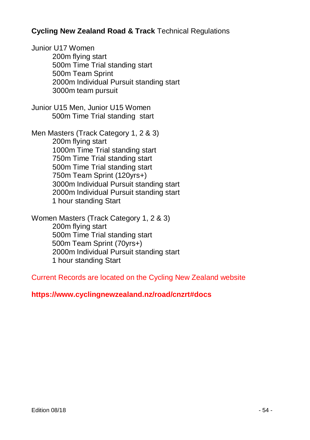Junior U17 Women 200m flying start 500m Time Trial standing start 500m Team Sprint 2000m Individual Pursuit standing start 3000m team pursuit

Junior U15 Men, Junior U15 Women 500m Time Trial standing start

Men Masters (Track Category 1, 2 & 3) 200m flying start 1000m Time Trial standing start 750m Time Trial standing start 500m Time Trial standing start 750m Team Sprint (120yrs+) 3000m Individual Pursuit standing start 2000m Individual Pursuit standing start 1 hour standing Start

Women Masters (Track Category 1, 2 & 3) 200m flying start 500m Time Trial standing start 500m Team Sprint (70yrs+) 2000m Individual Pursuit standing start 1 hour standing Start

Current Records are located on the Cycling New Zealand website

### **https://www.cyclingnewzealand.nz/road/cnzrt#docs**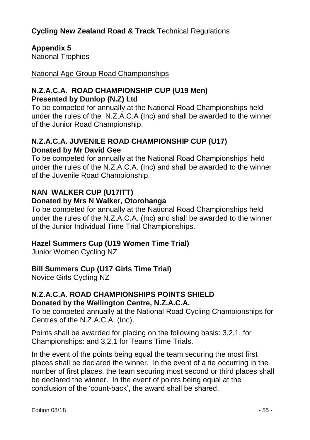### **Appendix 5**

National Trophies

National Age Group Road Championships

### **N.Z.A.C.A. ROAD CHAMPIONSHIP CUP (U19 Men) Presented by Dunlop (N.Z) Ltd**

To be competed for annually at the National Road Championships held under the rules of the N.Z.A.C.A (Inc) and shall be awarded to the winner of the Junior Road Championship.

### **N.Z.A.C.A. JUVENILE ROAD CHAMPIONSHIP CUP (U17) Donated by Mr David Gee**

To be competed for annually at the National Road Championships' held under the rules of the N.Z.A.C.A. (Inc) and shall be awarded to the winner of the Juvenile Road Championship.

### **NAN WALKER CUP (U17ITT) Donated by Mrs N Walker, Otorohanga**

To be competed for annually at the National Road Championships held under the rules of the N.Z.A.C.A. (Inc) and shall be awarded to the winner of the Junior Individual Time Trial Championships.

### **Hazel Summers Cup (U19 Women Time Trial)**

Junior Women Cycling NZ

### **Bill Summers Cup (U17 Girls Time Trial)**

Novice Girls Cycling NZ

### **N.Z.A.C.A. ROAD CHAMPIONSHIPS POINTS SHIELD Donated by the Wellington Centre, N.Z.A.C.A.**

To be competed annually at the National Road Cycling Championships for Centres of the N.Z.A.C.A. (Inc).

Points shall be awarded for placing on the following basis: 3,2,1, for Championships: and 3,2,1 for Teams Time Trials.

In the event of the points being equal the team securing the most first places shall be declared the winner. In the event of a tie occurring in the number of first places, the team securing most second or third places shall be declared the winner. In the event of points being equal at the conclusion of the 'count-back', the award shall be shared.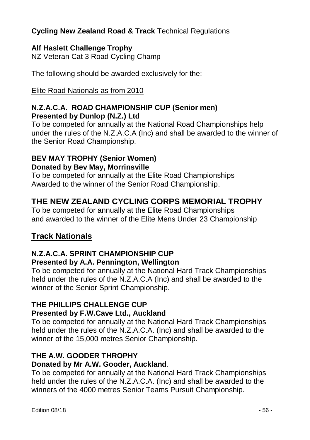### **Alf Haslett Challenge Trophy**

NZ Veteran Cat 3 Road Cycling Champ

The following should be awarded exclusively for the:

Elite Road Nationals as from 2010

### **N.Z.A.C.A. ROAD CHAMPIONSHIP CUP (Senior men) Presented by Dunlop (N.Z.) Ltd**

To be competed for annually at the National Road Championships help under the rules of the N.Z.A.C.A (Inc) and shall be awarded to the winner of the Senior Road Championship.

### **BEV MAY TROPHY (Senior Women) Donated by Bev May, Morrinsville**

To be competed for annually at the Elite Road Championships Awarded to the winner of the Senior Road Championship.

### **THE NEW ZEALAND CYCLING CORPS MEMORIAL TROPHY**

To be competed for annually at the Elite Road Championships and awarded to the winner of the Elite Mens Under 23 Championship

### **Track Nationals**

### **N.Z.A.C.A. SPRINT CHAMPIONSHIP CUP**

### **Presented by A.A. Pennington, Wellington**

To be competed for annually at the National Hard Track Championships held under the rules of the N.Z.A.C.A (Inc) and shall be awarded to the winner of the Senior Sprint Championship.

### **THE PHILLIPS CHALLENGE CUP**

### **Presented by F.W.Cave Ltd., Auckland**

To be competed for annually at the National Hard Track Championships held under the rules of the N.Z.A.C.A. (Inc) and shall be awarded to the winner of the 15,000 metres Senior Championship.

### **THE A.W. GOODER THROPHY**

### **Donated by Mr A.W. Gooder, Auckland**.

To be competed for annually at the National Hard Track Championships held under the rules of the N.Z.A.C.A. (Inc) and shall be awarded to the winners of the 4000 metres Senior Teams Pursuit Championship.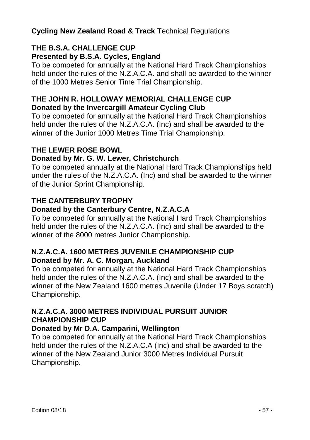### **THE B.S.A. CHALLENGE CUP Presented by B.S.A. Cycles, England**

To be competed for annually at the National Hard Track Championships held under the rules of the N.Z.A.C.A. and shall be awarded to the winner of the 1000 Metres Senior Time Trial Championship.

### **THE JOHN R. HOLLOWAY MEMORIAL CHALLENGE CUP Donated by the Invercargill Amateur Cycling Club**

To be competed for annually at the National Hard Track Championships held under the rules of the N.Z.A.C.A. (Inc) and shall be awarded to the winner of the Junior 1000 Metres Time Trial Championship.

### **THE LEWER ROSE BOWL**

### **Donated by Mr. G. W. Lewer, Christchurch**

To be competed annually at the National Hard Track Championships held under the rules of the N.Z.A.C.A. (Inc) and shall be awarded to the winner of the Junior Sprint Championship.

### **THE CANTERBURY TROPHY**

### **Donated by the Canterbury Centre, N.Z.A.C.A**

To be competed for annually at the National Hard Track Championships held under the rules of the N.Z.A.C.A. (Inc) and shall be awarded to the winner of the 8000 metres Junior Championship.

### **N.Z.A.C.A. 1600 METRES JUVENILE CHAMPIONSHIP CUP Donated by Mr. A. C. Morgan, Auckland**

To be competed for annually at the National Hard Track Championships held under the rules of the N.Z.A.C.A. (Inc) and shall be awarded to the winner of the New Zealand 1600 metres Juvenile (Under 17 Boys scratch) Championship.

### **N.Z.A.C.A. 3000 METRES INDIVIDUAL PURSUIT JUNIOR CHAMPIONSHIP CUP**

### **Donated by Mr D.A. Camparini, Wellington**

To be competed for annually at the National Hard Track Championships held under the rules of the N.Z.A.C.A (Inc) and shall be awarded to the winner of the New Zealand Junior 3000 Metres Individual Pursuit Championship.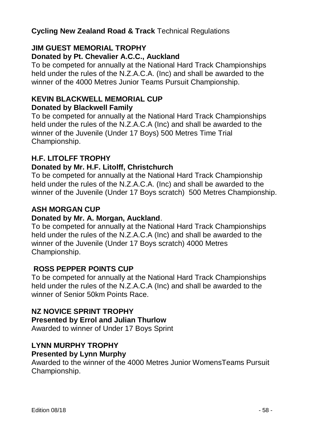### **JIM GUEST MEMORIAL TROPHY Donated by Pt. Chevalier A.C.C., Auckland**

To be competed for annually at the National Hard Track Championships held under the rules of the N.Z.A.C.A. (Inc) and shall be awarded to the winner of the 4000 Metres Junior Teams Pursuit Championship.

### **KEVIN BLACKWELL MEMORIAL CUP**

### **Donated by Blackwell Family**

To be competed for annually at the National Hard Track Championships held under the rules of the N.Z.A.C.A (Inc) and shall be awarded to the winner of the Juvenile (Under 17 Boys) 500 Metres Time Trial Championship.

### **H.F. LITOLFF TROPHY**

### **Donated by Mr. H.F. Litolff, Christchurch**

To be competed for annually at the National Hard Track Championship held under the rules of the N.Z.A.C.A. (Inc) and shall be awarded to the winner of the Juvenile (Under 17 Boys scratch) 500 Metres Championship.

### **ASH MORGAN CUP**

### **Donated by Mr. A. Morgan, Auckland**.

To be competed for annually at the National Hard Track Championships held under the rules of the N.Z.A.C.A (Inc) and shall be awarded to the winner of the Juvenile (Under 17 Boys scratch) 4000 Metres Championship.

### **ROSS PEPPER POINTS CUP**

To be competed for annually at the National Hard Track Championships held under the rules of the N.Z.A.C.A (Inc) and shall be awarded to the winner of Senior 50km Points Race.

#### **NZ NOVICE SPRINT TROPHY Presented by Errol and Julian Thurlow**  Awarded to winner of Under 17 Boys Sprint

### **LYNN MURPHY TROPHY**

### **Presented by Lynn Murphy**

Awarded to the winner of the 4000 Metres Junior WomensTeams Pursuit Championship.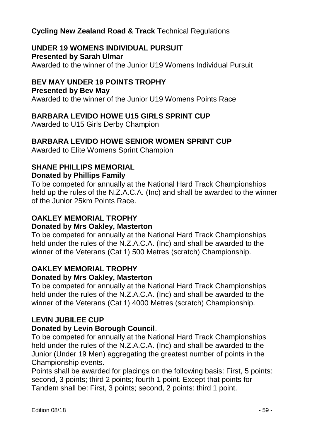#### **UNDER 19 WOMENS INDIVIDUAL PURSUIT Presented by Sarah Ulmar**

Awarded to the winner of the Junior U19 Womens Individual Pursuit

### **BEV MAY UNDER 19 POINTS TROPHY**

### **Presented by Bev May**

Awarded to the winner of the Junior U19 Womens Points Race

### **BARBARA LEVIDO HOWE U15 GIRLS SPRINT CUP**

Awarded to U15 Girls Derby Champion

### **BARBARA LEVIDO HOWE SENIOR WOMEN SPRINT CUP**

Awarded to Elite Womens Sprint Champion

#### **SHANE PHILLIPS MEMORIAL Donated by Phillips Family**

To be competed for annually at the National Hard Track Championships held up the rules of the N.Z.A.C.A. (Inc) and shall be awarded to the winner of the Junior 25km Points Race.

## **OAKLEY MEMORIAL TROPHY**

### **Donated by Mrs Oakley, Masterton**

To be competed for annually at the National Hard Track Championships held under the rules of the N.Z.A.C.A. (Inc) and shall be awarded to the winner of the Veterans (Cat 1) 500 Metres (scratch) Championship.

### **OAKLEY MEMORIAL TROPHY**

### **Donated by Mrs Oakley, Masterton**

To be competed for annually at the National Hard Track Championships held under the rules of the N.Z.A.C.A. (Inc) and shall be awarded to the winner of the Veterans (Cat 1) 4000 Metres (scratch) Championship.

### **LEVIN JUBILEE CUP**

### **Donated by Levin Borough Council**.

To be competed for annually at the National Hard Track Championships held under the rules of the N.Z.A.C.A. (Inc) and shall be awarded to the Junior (Under 19 Men) aggregating the greatest number of points in the Championship events.

Points shall be awarded for placings on the following basis: First, 5 points: second, 3 points; third 2 points; fourth 1 point. Except that points for Tandem shall be: First, 3 points; second, 2 points: third 1 point.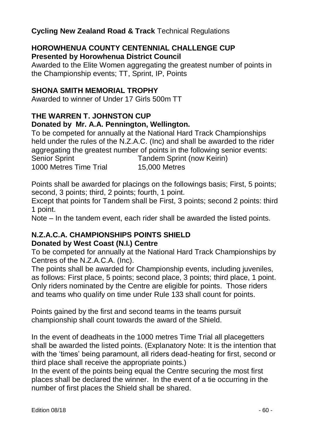### **HOROWHENUA COUNTY CENTENNIAL CHALLENGE CUP Presented by Horowhenua District Council**

Awarded to the Elite Women aggregating the greatest number of points in the Championship events; TT, Sprint, IP, Points

### **SHONA SMITH MEMORIAL TROPHY**

Awarded to winner of Under 17 Girls 500m TT

#### **THE WARREN T. JOHNSTON CUP Donated by Mr. A.A. Pennington, Wellington.**

To be competed for annually at the National Hard Track Championships held under the rules of the N.Z.A.C. (Inc) and shall be awarded to the rider aggregating the greatest number of points in the following senior events: Senior Sprint Tandem Sprint (now Keirin) 1000 Metres Time Trial 15,000 Metres

Points shall be awarded for placings on the followings basis; First, 5 points; second, 3 points; third, 2 points; fourth, 1 point.

Except that points for Tandem shall be First, 3 points; second 2 points: third 1 point.

Note – In the tandem event, each rider shall be awarded the listed points.

### **N.Z.A.C.A. CHAMPIONSHIPS POINTS SHIELD Donated by West Coast (N.I.) Centre**

To be competed for annually at the National Hard Track Championships by Centres of the N.Z.A.C.A. (Inc).

The points shall be awarded for Championship events, including juveniles, as follows: First place, 5 points; second place, 3 points; third place, 1 point. Only riders nominated by the Centre are eligible for points. Those riders and teams who qualify on time under Rule 133 shall count for points.

Points gained by the first and second teams in the teams pursuit championship shall count towards the award of the Shield.

In the event of deadheats in the 1000 metres Time Trial all placegetters shall be awarded the listed points. (Explanatory Note: It is the intention that with the 'times' being paramount, all riders dead-heating for first, second or third place shall receive the appropriate points.)

In the event of the points being equal the Centre securing the most first places shall be declared the winner. In the event of a tie occurring in the number of first places the Shield shall be shared.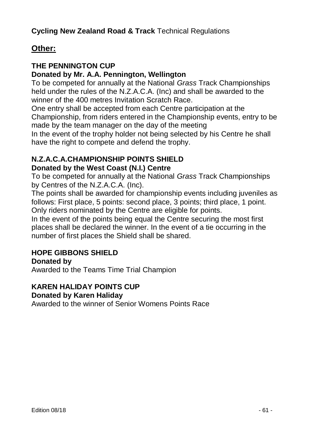### **Other:**

### **THE PENNINGTON CUP**

### **Donated by Mr. A.A. Pennington, Wellington**

To be competed for annually at the National *Grass* Track Championships held under the rules of the N.Z.A.C.A. (Inc) and shall be awarded to the winner of the 400 metres Invitation Scratch Race.

One entry shall be accepted from each Centre participation at the Championship, from riders entered in the Championship events, entry to be made by the team manager on the day of the meeting

In the event of the trophy holder not being selected by his Centre he shall have the right to compete and defend the trophy.

## **N.Z.A.C.A.CHAMPIONSHIP POINTS SHIELD**

### **Donated by the West Coast (N.I.) Centre**

To be competed for annually at the National *Grass* Track Championships by Centres of the N.Z.A.C.A. (Inc).

The points shall be awarded for championship events including juveniles as follows: First place, 5 points: second place, 3 points; third place, 1 point. Only riders nominated by the Centre are eligible for points.

In the event of the points being equal the Centre securing the most first places shall be declared the winner. In the event of a tie occurring in the number of first places the Shield shall be shared.

### **HOPE GIBBONS SHIELD**

### **Donated by**

Awarded to the Teams Time Trial Champion

### **KAREN HALIDAY POINTS CUP**

### **Donated by Karen Haliday**

Awarded to the winner of Senior Womens Points Race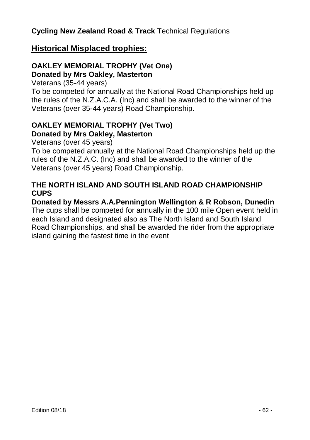### **Historical Misplaced trophies:**

### **OAKLEY MEMORIAL TROPHY (Vet One) Donated by Mrs Oakley, Masterton**

Veterans (35-44 years)

To be competed for annually at the National Road Championships held up the rules of the N.Z.A.C.A. (Inc) and shall be awarded to the winner of the Veterans (over 35-44 years) Road Championship.

### **OAKLEY MEMORIAL TROPHY (Vet Two) Donated by Mrs Oakley, Masterton**

Veterans (over 45 years)

To be competed annually at the National Road Championships held up the rules of the N.Z.A.C. (Inc) and shall be awarded to the winner of the Veterans (over 45 years) Road Championship.

### **THE NORTH ISLAND AND SOUTH ISLAND ROAD CHAMPIONSHIP CUPS**

**Donated by Messrs A.A.Pennington Wellington & R Robson, Dunedin** The cups shall be competed for annually in the 100 mile Open event held in each Island and designated also as The North Island and South Island Road Championships, and shall be awarded the rider from the appropriate island gaining the fastest time in the event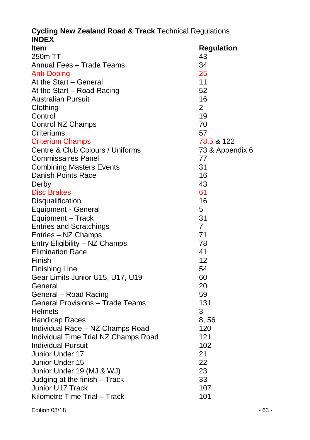| Item                                    | <b>Regulation</b> |
|-----------------------------------------|-------------------|
| 250m TT                                 | 43                |
| Annual Fees - Trade Teams               | 34                |
| Anti-Doping                             | 25                |
| At the Start - General                  | 11                |
| At the Start – Road Racing              | 52                |
| <b>Australian Pursuit</b>               | 16                |
| Clothing                                | $\overline{2}$    |
| Control                                 | 19                |
| Control NZ Champs                       | 70                |
| Criteriums                              | 57                |
| <b>Criterium Champs</b>                 | 78.5 & 122        |
| Centre & Club Colours / Uniforms        | 73 & Appendix 6   |
| Commissaires Panel                      | 77                |
| <b>Combining Masters Events</b>         | 31                |
| Danish Points Race                      | 16                |
| Derby                                   | 43                |
| <b>Disc Brakes</b>                      | 61                |
| Disqualification                        | 16                |
| Equipment - General                     | 5                 |
| Equipment - Track                       | 31                |
| <b>Entries and Scratchings</b>          | $\overline{7}$    |
| Entries - NZ Champs                     | 71                |
| Entry Eligibility - NZ Champs           | 78                |
| <b>Elimination Race</b>                 | 41                |
| Finish                                  | 12                |
| <b>Finishing Line</b>                   | 54                |
| Gear Limits Junior U15, U17, U19        | 60                |
| General                                 | 20                |
| General - Road Racing                   | 59                |
| <b>General Provisions - Trade Teams</b> | 131               |
| Helmets                                 | 3                 |
| <b>Handicap Races</b>                   | 8,56              |
| Individual Race - NZ Champs Road        | 120               |
| Individual Time Trial NZ Champs Road    | 121               |
| <b>Individual Pursuit</b>               | 102               |
| Junior Under 17                         | 21                |
| Junior Under 15                         | 22                |
| Junior Under 19 (MJ & WJ)               | 23                |
| Judging at the finish - Track           | 33                |
| Junior U17 Track                        | 107               |
| Kilometre Time Trial - Track            | 101               |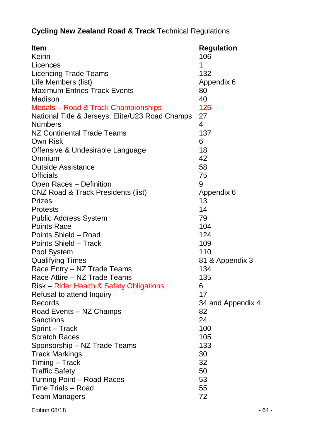| ltem                                            | <b>Regulation</b> |
|-------------------------------------------------|-------------------|
| Keirin                                          | 106               |
| Licences                                        | 1                 |
| <b>Licencing Trade Teams</b>                    | 132               |
| Life Members (list)                             | Appendix 6        |
| <b>Maximum Entries Track Events</b>             | 80                |
| Madison                                         | 40                |
| Medals - Road & Track Championships             | 126               |
| National Title & Jerseys, Elite/U23 Road Champs | 27                |
| <b>Numbers</b>                                  | 4                 |
| <b>NZ Continental Trade Teams</b>               | 137               |
| Own Risk                                        | 6                 |
| Offensive & Undesirable Language                | 18                |
| Omnium                                          | 42                |
| <b>Outside Assistance</b>                       | 58                |
| Officials                                       | 75                |
| Open Races - Definition                         | 9                 |
| <b>CNZ Road &amp; Track Presidents (list)</b>   | Appendix 6        |
| Prizes                                          | 13                |
| <b>Protests</b>                                 | 14                |
| Public Address System                           | 79                |
| <b>Points Race</b>                              | 104               |
| Points Shield - Road                            | 124               |
| Points Shield - Track                           | 109               |
| Pool System                                     | 110               |
| <b>Qualifying Times</b>                         | 81 & Appendix 3   |
| Race Entry - NZ Trade Teams                     | 134               |
| Race Attire - NZ Trade Teams                    | 135               |
| Risk - Rider Health & Safety Obligations        | 6                 |
| Refusal to attend Inquiry                       | 17                |
| Records                                         | 34 and Appendix 4 |
| Road Events - NZ Champs                         | 82                |
| Sanctions                                       | 24                |
| Sprint - Track                                  | 100               |
| Scratch Races                                   | 105               |
| Sponsorship - NZ Trade Teams                    | 133               |
| <b>Track Markings</b>                           | 30                |
| Timing - Track                                  | 32                |
| <b>Traffic Safety</b>                           | 50                |
| Turning Point - Road Races                      | 53                |
| Time Trials - Road                              | 55                |
| <b>Team Managers</b>                            | 72                |